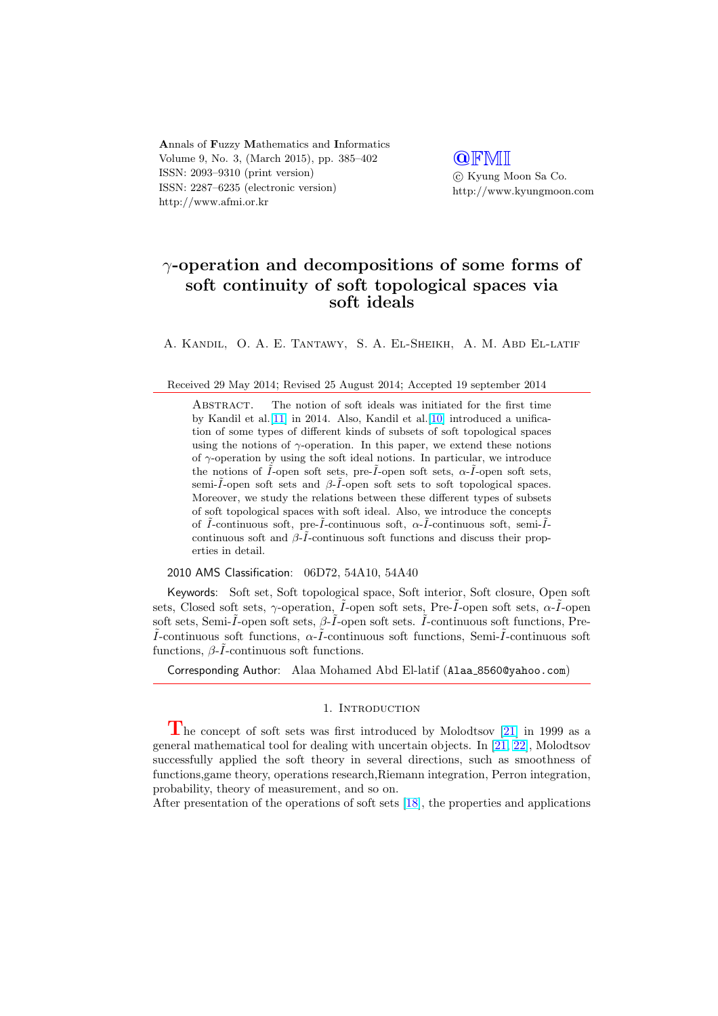Annals of Fuzzy Mathematics and Informatics Volume 9, No. 3, (March 2015), pp. 385–402 ISSN: 2093–9310 (print version) ISSN: 2287–6235 (electronic version) http://www.afmi.or.kr

**QFMI** °c Kyung Moon Sa Co. http://www.kyungmoon.com

# $\gamma$ -operation and decompositions of some forms of soft continuity of soft topological spaces via soft ideals

A. Kandil, O. A. E. Tantawy, S. A. El-Sheikh, A. M. Abd El-latif

Received 29 May 2014; Revised 25 August 2014; Accepted 19 september 2014

ABSTRACT. The notion of soft ideals was initiated for the first time by Kandil et al.[11] in 2014. Also, Kandil et al.[10] introduced a unification of some types of different kinds of subsets of soft topological spaces using the notions of  $\gamma$ -operation. In this paper, we extend these notions of  $\gamma$ -operation by using the soft ideal notions. In particular, we introduce the notions of  $\tilde{I}$ -open soft sets, pre- $\tilde{I}$ -open soft sets,  $\alpha$ - $\tilde{I}$ -open soft sets, semi- $\tilde{I}$ -open sof[t se](#page-16-0)ts and  $\beta$ - $\tilde{I}$ -open soft sets t[o so](#page-16-0)ft topological spaces. Moreover, we study the relations between these different types of subsets of soft topological spaces with soft ideal. Also, we introduce the concepts of  $\tilde{I}$ -continuous soft, pre- $\tilde{I}$ -continuous soft,  $\alpha$ - $\tilde{I}$ -continuous soft, semi- $\tilde{I}$ continuous soft and  $\beta$ - $\tilde{I}$ -continuous soft functions and discuss their properties in detail.

### 2010 AMS Classification: 06D72, 54A10, 54A40

Keywords: Soft set, Soft topological space, Soft interior, Soft closure, Open soft sets, Closed soft sets,  $\gamma$ -operation,  $\tilde{I}$ -open soft sets, Pre- $\tilde{I}$ -open soft sets,  $\alpha$ - $\tilde{I}$ -open soft sets, Semi- $\tilde{I}$ -open soft sets,  $\beta$ - $\tilde{I}$ -open soft sets.  $\tilde{I}$ -continuous soft functions, Pre- $\tilde{I}$ -continuous soft functions,  $\alpha$ - $\tilde{I}$ -continuous soft functions, Semi- $\tilde{I}$ -continuous soft functions,  $\beta$ - $\tilde{I}$ -continuous soft functions.

Corresponding Author: Alaa Mohamed Abd El-latif (Alaa\_8560@yahoo.com)

### 1. INTRODUCTION

The concept of soft sets was first introduced by Molodtsov [21] in 1999 as a general mathematical tool for dealing with uncertain objects. In [21, 22], Molodtsov successfully applied the soft theory in several directions, such as smoothness of functions,game theory, operations research,Riemann integration, Perron integration, probability, theory of measurement, and so on.

After presentation of the operations of soft sets [18], the properti[es and](#page-16-0) applications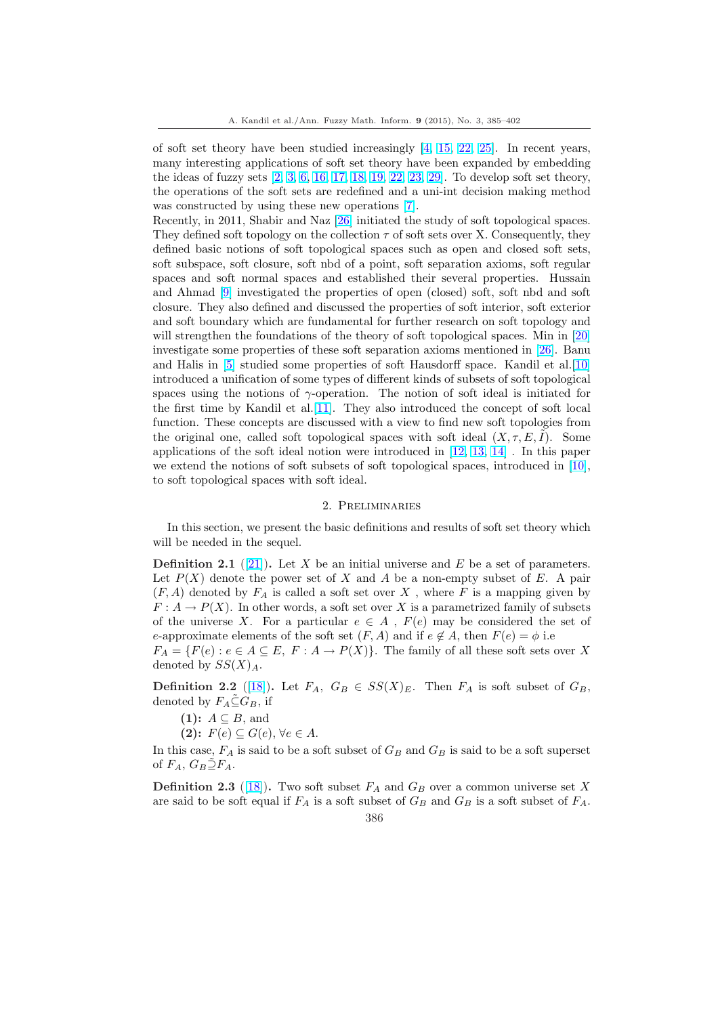of soft set theory have been studied increasingly [4, 15, 22, 25]. In recent years, many interesting applications of soft set theory have been expanded by embedding the ideas of fuzzy sets  $[2, 3, 6, 16, 17, 18, 19, 22, 23, 29]$ . To develop soft set theory, the operations of the soft sets are redefined and a uni-int decision making method was constructed by using these new operations [7].

Recently, in 2011, Shabir and Naz [26] initiated the study of soft topological spaces. They defined soft topo[logy](#page-16-0) [on](#page-16-0) [the](#page-16-0) [collection](#page-16-0)  $\tau$  [of](#page-16-0) [soft set](#page-17-0)s over X. Consequently, they defined basic notions of soft topological spaces such as open and closed soft sets, soft subspace, soft closure, soft nbd of a point, [so](#page-16-0)ft separation axioms, soft regular spaces and soft normal spaces an[d e](#page-17-0)stablished their several properties. Hussain and Ahmad [9] investigated the properties of open (closed) soft, soft nbd and soft closure. They also defined and discussed the properties of soft interior, soft exterior and soft boundary which are fundamental for further research on soft topology and will strengthen the foundations of the theory of soft topological spaces. Min in [20] investigate s[om](#page-16-0)e properties of these soft separation axioms mentioned in [26]. Banu and Halis in [5] studied some properties of soft Hausdorff space. Kandil et al.[10] introduced a unification of some types of different kinds of subsets of soft topological spaces using the notions of  $\gamma$ -operation. The notion of soft ideal is initiated [for](#page-16-0) the first time by Kandil et al.[11]. They also introduced the concept of [so](#page-17-0)ft local function. The[se](#page-16-0) concepts are discussed with a view to find new soft topologies fr[om](#page-16-0) the original one, called soft topological spaces with soft ideal  $(X, \tau, E, I)$ . Some applications of the soft ideal notion were introduced in [12, 13, 14] . In this paper we extend the notions of soft [subs](#page-16-0)ets of soft topological spaces, introduced in [10], to soft topological spaces with soft ideal.

### 2. Preliminaries

In this section, we present the basic definitions and results of soft set theory w[hich](#page-16-0) will be needed in the sequel.

**Definition 2.1** ([21]). Let X be an initial universe and E be a set of parameters. Let  $P(X)$  denote the power set of X and A be a non-empty subset of E. A pair  $(F, A)$  denoted by  $F_A$  is called a soft set over X, where F is a mapping given by  $F: A \to P(X)$ . In other words, a soft set over X is a parametrized family of subsets of the universe X[.](#page-16-0) For a particular  $e \in A$ ,  $F(e)$  may be considered the set of e-approximate elements of the soft set  $(F, A)$  and if  $e \notin A$ , then  $F(e) = \phi$  i.e.  $F_A = \{F(e) : e \in A \subseteq E, F : A \to P(X)\}.$  The family of all these soft sets over X denoted by  $SS(X)_A$ .

**Definition 2.2** ([18]). Let  $F_A$ ,  $G_B \in SS(X)_E$ . Then  $F_A$  is soft subset of  $G_B$ , denoted by  $F_A \tilde{\subseteq} G_B$ , if

 $(1)$ :  $A \subseteq B$ , and (2):  $F(e) \subseteq G(e), \forall e \in A$ .

In this case,  $F_A$  is [said](#page-16-0) to be a soft subset of  $G_B$  and  $G_B$  is said to be a soft superset of  $F_A$ ,  $G_B \supseteq F_A$ .

**Definition 2.3** ([18]). Two soft subset  $F_A$  and  $G_B$  over a common universe set X are said to be soft equal if  $F_A$  is a soft subset of  $G_B$  and  $G_B$  is a soft subset of  $F_A$ .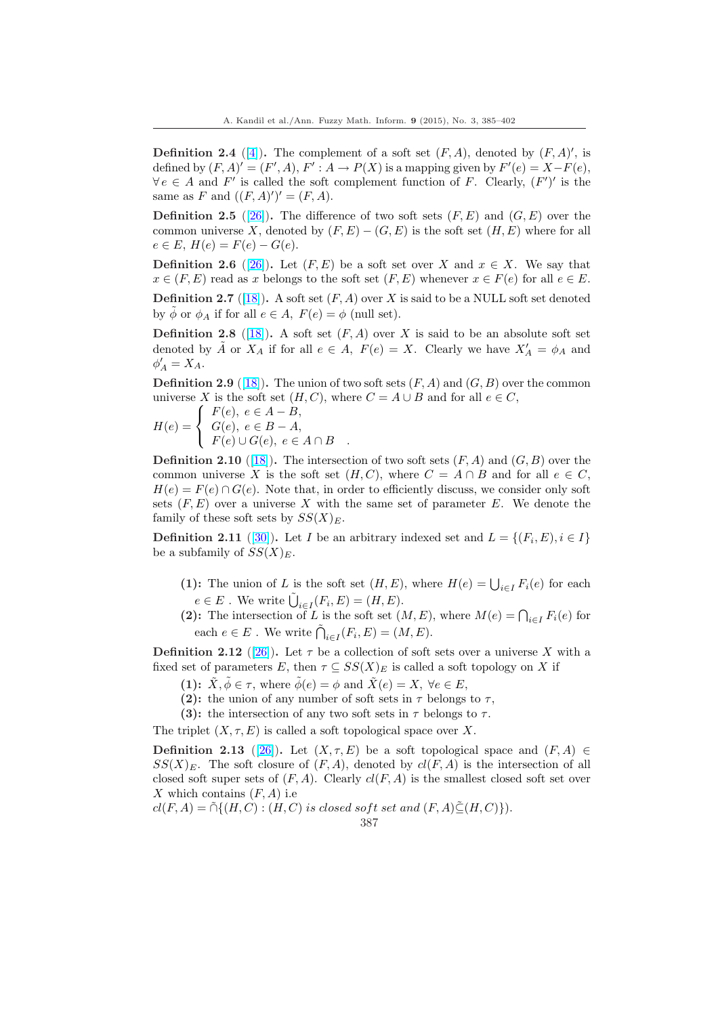**Definition 2.4** ([4]). The complement of a soft set  $(F, A)$ , denoted by  $(F, A)'$ , is defined by  $(F, A)' = (F', A), F' : A \rightarrow P(X)$  is a mapping given by  $F'(e) = X - F(e)$ ,  $\forall e \in A$  and  $F'$  is called the soft complement function of F. Clearly,  $(F')'$  is the same as F and  $((F, A)')' = (F, A)$ .

**Definition 2.5** ([\[26](#page-16-0)]). The difference of two soft sets  $(F, E)$  and  $(G, E)$  over the common universe X, denoted by  $(F, E) - (G, E)$  is the soft set  $(H, E)$  where for all  $e \in E$ ,  $H(e) = F(e) - G(e)$ .

**Definition 2.6** ([26]). Let  $(F, E)$  be a soft set over X and  $x \in X$ . We say that  $x \in (F, E)$  $x \in (F, E)$  read as x belongs to the soft set  $(F, E)$  whenever  $x \in F(e)$  for all  $e \in E$ .

**Definition 2.7** ([18]). A soft set  $(F, A)$  over X is said to be a NULL soft set denoted by  $\phi$  or  $\phi_A$  if for all  $e \in A$ ,  $F(e) = \phi$  (null set).

**Definition 2.8** ([\[18\]](#page-17-0)). A soft set  $(F, A)$  over X is said to be an absolute soft set denoted by  $\tilde{A}$  or  $X_A$  $X_A$  if for all  $e \in A$ ,  $F(e) = X$ . Clearly we have  $X'_A = \phi_A$  and  $\phi'_A = X_A.$ 

**Definition 2.9** ([18]). The union of two soft sets  $(F, A)$  and  $(G, B)$  over the common universe X is the [soft](#page-16-0) set  $(H, C)$ , where  $C = A \cup B$  and for all  $e \in C$ ,

$$
H(e) = \begin{cases} F(e), & e \in A - B, \\ G(e), & e \in B - A, \\ F(e) \cup G(e), & e \in A \cap B \end{cases}
$$

**Definition 2.10** ([18]). The intersection of two soft sets  $(F, A)$  and  $(G, B)$  over the common universe X is the soft set  $(H, C)$ , where  $C = A \cap B$  and for all  $e \in C$ ,  $H(e) = F(e) \cap G(e)$ . Note that, in order to efficiently discuss, we consider only soft sets  $(F, E)$  over a universe X with the same set of parameter E. We denote the family of these sof[t se](#page-16-0)ts by  $SS(X)<sub>E</sub>$ .

**Definition 2.11** ([30]). Let I be an arbitrary indexed set and  $L = \{(F_i, E), i \in I\}$ be a subfamily of  $SS(X)<sub>E</sub>$ .

(1): The union of L is the soft set  $(H, E)$ , where  $H(e) = \bigcup_{i \in I} F_i(e)$  for each  $e \in E$ . W[e wr](#page-17-0)ite  $\tilde{U}$ 

 $e \in E$ . We write  $\bigcup_{i \in I} (F_i, E) = (H, E)$ .<br>
(2): The intersection of L is the soft set  $(M, E)$ , where  $M(e) = \bigcap_{i \in I} F_i(e)$  for each  $e \in E$ . We write  $\tilde{\bigcap}_{i \in I} (F_i, E) = (M, E)$ .

**Definition 2.12** ([26]). Let  $\tau$  be a collection of soft sets over a universe X with a fixed set of parameters E, then  $\tau \subseteq SS(X)_E$  is called a soft topology on X if

(1):  $\tilde{X}, \tilde{\phi} \in \tau$ , where  $\tilde{\phi}(e) = \phi$  and  $\tilde{X}(e) = X$ ,  $\forall e \in E$ ,

- (2): the union of any number of soft sets in  $\tau$  belongs to  $\tau$ ,
- (3): the inter[sec](#page-17-0)tion of any two soft sets in  $\tau$  belongs to  $\tau$ .

The triplet  $(X, \tau, E)$  is called a soft topological space over X.

**Definition 2.13** ([26]). Let  $(X, \tau, E)$  be a soft topological space and  $(F, A) \in$  $SS(X)_E$ . The soft closure of  $(F, A)$ , denoted by  $cl(F, A)$  is the intersection of all closed soft super sets of  $(F, A)$ . Clearly  $cl(F, A)$  is the smallest closed soft set over X which contains  $(F, A)$  i.e

 $cl(F, A) = \tilde{\cap} \{ (H, C) : (H, C) \text{ is closed soft set and } (F, A) \leq (H, C) \}.$  $cl(F, A) = \tilde{\cap} \{ (H, C) : (H, C) \text{ is closed soft set and } (F, A) \leq (H, C) \}.$  $cl(F, A) = \tilde{\cap} \{ (H, C) : (H, C) \text{ is closed soft set and } (F, A) \leq (H, C) \}.$ 

$$
387\,
$$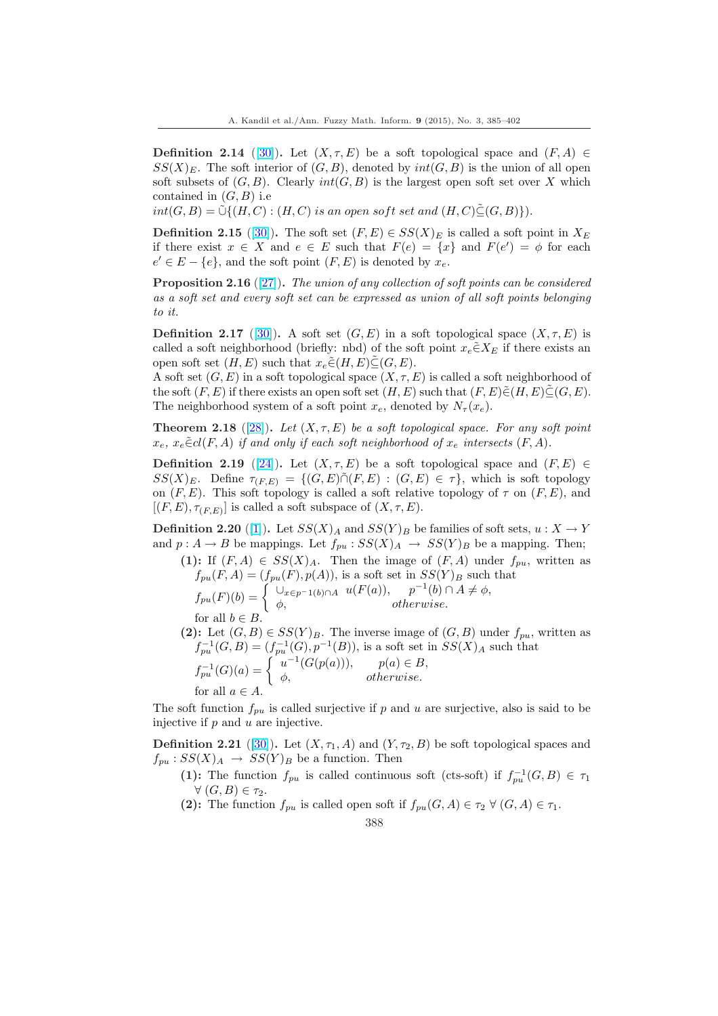**Definition 2.14** ([30]). Let  $(X, \tau, E)$  be a soft topological space and  $(F, A) \in$  $SS(X)_E$ . The soft interior of  $(G, B)$ , denoted by  $int(G, B)$  is the union of all open soft subsets of  $(G, B)$ . Clearly  $int(G, B)$  is the largest open soft set over X which contained in  $(G, B)$  i.e

 $int(G, B) = \tilde{\cup}\{(H, C): (H, C) \text{ is an open soft set and } (H, C)\tilde{\subseteq}(G, B)\}).$ 

**Definition 2.15** ([30]). The soft set  $(F, E) \in SS(X)_E$  is called a soft point in  $X_E$ if there exist  $x \in X$  and  $e \in E$  such that  $F(e) = \{x\}$  and  $F(e') = \phi$  for each  $e' \in E - \{e\}$ , and the soft point  $(F, E)$  is denoted by  $x_e$ .

**Proposition 2.16** ([27]). The union of any collection of soft points can be considered as a soft set and e[very](#page-17-0) soft set can be expressed as union of all soft points belonging to it.

**Definition 2.17** ([30]). A soft set  $(G, E)$  in a soft topological space  $(X, \tau, E)$  is called a soft neighb[orho](#page-17-0)od (briefly: nbd) of the soft point  $x_e \in X_E$  if there exists an open soft set  $(H, E)$  such that  $x_e \tilde{\in} (H, E) \subseteq (G, E)$ .

A soft set  $(G, E)$  in a soft topological space  $(X, \tau, E)$  is called a soft neighborhood of the soft  $(F, E)$  if the[re e](#page-17-0)xists an open soft set  $(H, E)$  such that  $(F, E) \in (H, E) \subseteq (G, E)$ . The neighborhood system of a soft point  $x_e$ , denoted by  $N_\tau(x_e)$ .

**Theorem 2.18** ([28]). Let  $(X, \tau, E)$  be a soft topological space. For any soft point  $x_e, x_e \in cl(F, A)$  if and only if each soft neighborhood of  $x_e$  intersects  $(F, A)$ .

Definition 2.19 ([24]). Let  $(X, \tau, E)$  be a soft topological space and  $(F, E) \in$  $SS(X)_E$ . Define  $\tau_{(F,E)} = \{(G,E) \cap (F,E) : (G,E) \in \tau\}$ , which is soft topology on  $(F, E)$ . This s[oft](#page-17-0) topology is called a soft relative topology of  $\tau$  on  $(F, E)$ , and  $[(F, E), \tau_{(F,E)}]$  is called a soft subspace of  $(X, \tau, E)$ .

**Definition 2.20** ([[1\]\)](#page-17-0). Let  $SS(X)_A$  and  $SS(Y)_B$  be families of soft sets,  $u: X \to Y$ and  $p: A \to B$  be mappings. Let  $f_{pu}: SS(X)_A \to SS(Y)_B$  be a mapping. Then;

- (1): If  $(F, A) \in SS(X)_A$ . Then the image of  $(F, A)$  under  $f_{pu}$ , written as  $f_{pu}(F, A) = (f_{pu}(F), p(A)),$  $f_{pu}(F, A) = (f_{pu}(F), p(A)),$  $f_{pu}(F, A) = (f_{pu}(F), p(A)),$  is a soft set in  $SS(Y)_B$  such that<br>  $f_{pu}(F)(b) = \begin{cases} \bigcup_{x \in p^{-1}(b) \cap A} u(F(a)), & p^{-1}(b) \cap A \neq \phi, \\ A, & \text{otherwise} \end{cases}$  $\phi$ , otherwise. for all  $b \in B$ .
- (2): Let  $(G, B) \in SS(Y)_{B}$ . The inverse image of  $(G, B)$  under  $f_{pu}$ , written as  $f_{pu}^{-1}(G, B) = (f_{pu}^{-1}(G), p^{-1}(B)),$  is a soft set in  $SS(X)_A$  such that  $f_{pu}^{\text{1}}(G, B) = \begin{cases} u^{-1}(G(p(a))), & p(a) \in B, \\ \phi & \text{otherwise} \end{cases}$  $\phi$ , otherwise. for all  $a \in A$ .

The soft function  $f_{pu}$  is called surjective if p and u are surjective, also is said to be injective if  $p$  and  $u$  are injective.

**Definition 2.21** ([30]). Let  $(X, \tau_1, A)$  and  $(Y, \tau_2, B)$  be soft topological spaces and  $f_{pu}: SS(X)_A \rightarrow SS(Y)_B$  be a function. Then

- (1): The function  $f_{pu}$  is called continuous soft (cts-soft) if  $f_{pu}^{-1}(G, B) \in \tau_1$  $\forall(G, B) \in \tau_2.$
- (2): The fun[ctio](#page-17-0)n  $f_{pu}$  is called open soft if  $f_{pu}(G, A) \in \tau_2 \ \forall \ (G, A) \in \tau_1$ .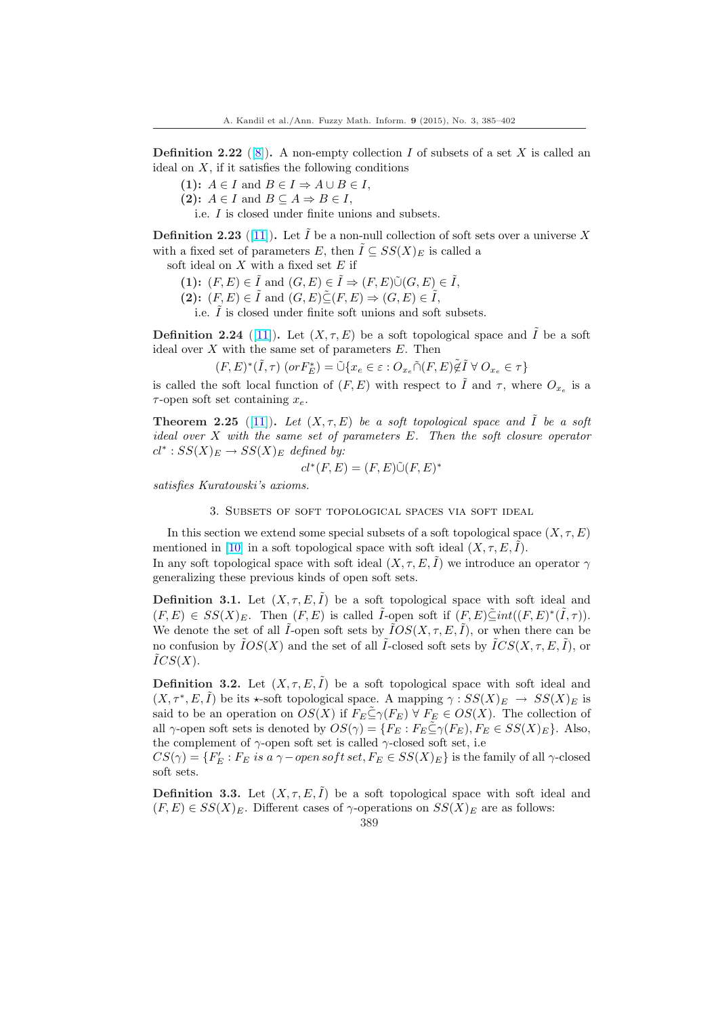<span id="page-4-0"></span>**Definition 2.22** ([8]). A non-empty collection I of subsets of a set X is called an ideal on  $X$ , if it satisfies the following conditions

- (1):  $A \in I$  and  $B \in I \Rightarrow A \cup B \in I$ ,
- (2):  $A \in I$  and  $B \subseteq A \Rightarrow B \in I$ ,
- i.e. I is clo[se](#page-16-0)d under finite unions and subsets.

**Definition 2.23** ([11]). Let I be a non-null collection of soft sets over a universe X with a fixed set of parameters E, then  $I \subseteq SS(X)_E$  is called a

soft ideal on  $X$  with a fixed set  $E$  if

- (1):  $(F, E) \in \tilde{I}$  and  $(G, E) \in \tilde{I} \Rightarrow (F, E) \tilde{\cup} (G, E) \in \tilde{I}$ ,
- (2):  $(F, E) \in \tilde{I}$  and  $(G, E) \tilde{\subseteq} (F, E) \Rightarrow (G, E) \in \tilde{I}$ ,

i.e.  $\ddot{I}$  is closed under finite soft unions and soft subsets.

**Definition 2.24** ([11]). Let  $(X, \tau, E)$  be a soft topological space and  $\tilde{I}$  be a soft ideal over  $X$  with the same set of parameters  $E$ . Then

 $(F,E)^*(\tilde{I},\tau) \; (or F_E^*) = \tilde{\cup} \{x_e \in \varepsilon : O_{x_e} \tilde{\cap} (F,E) \tilde{\not\in} \tilde{I} \; \forall \; O_{x_e} \in \tau \}$ 

is called the soft local function of  $(F, E)$  with respect to  $\tilde{I}$  and  $\tau$ , where  $O_{x_e}$  is a  $\tau$ -open soft set con[tain](#page-16-0)ing  $x_e$ .

**Theorem 2.25** ([11]). Let  $(X, \tau, E)$  be a soft topological space and  $\tilde{I}$  be a soft ideal over X with the same set of parameters E. Then the soft closure operator  $cl^*: SS(X)_E \to SS(X)_E$  defined by:

$$
cl^*(F, E) = (F, E)\tilde{\cup}(F, E)^*
$$

satisfies Kuratows[ki's](#page-16-0) axioms.

3. Subsets of soft topological spaces via soft ideal

In this section we extend some special subsets of a soft topological space  $(X, \tau, E)$ mentioned in [10] in a soft topological space with soft ideal  $(X, \tau, E, I)$ .

In any soft topological space with soft ideal  $(X, \tau, E, I)$  we introduce an operator  $\gamma$ generalizing these previous kinds of open soft sets.

**Definition 3[.1.](#page-16-0)** Let  $(X, \tau, E, I)$  be a soft topological space with soft ideal and  $(F, E) \in SS(X)_E$ . Then  $(F, E)$  is called  $\tilde{I}$ -open soft if  $(F, E) \tilde{\subseteq} int((F, E)^*(\tilde{I}, \tau))$ . We denote the set of all  $\tilde{I}$ -open soft sets by  $\tilde{I}OS(X, \tau, E, \tilde{I})$ , or when there can be no confusion by  $\tilde{I}OS(X)$  and the set of all  $\tilde{I}$ -closed soft sets by  $\tilde{I}CS(X,\tau,E,\tilde{I})$ , or  $ICS(X)$ .

**Definition 3.2.** Let  $(X, \tau, E, \tilde{I})$  be a soft topological space with soft ideal and  $(X, \tau^*, E, \tilde{I})$  be its  $\star$ -soft topological space. A mapping  $\gamma : SS(X)_E \to SS(X)_E$  is said to be an operation on  $OS(X)$  if  $F_E \subseteq \gamma(F_E) \ \forall F_E \in OS(X)$ . The collection of all  $\gamma$ -open soft sets is denoted by  $OS(\gamma) = \{F_E : F_E \subseteq \gamma(F_E), F_E \in SS(X)_E\}$ . Also, the complement of  $\gamma$ -open soft set is called  $\gamma$ -closed soft set, i.e

 $CS(\gamma) = \{F'_E : F_E \text{ is a } \gamma-\text{open soft set}, F_E \in SS(X)_E\}$  is the family of all  $\gamma$ -closed soft sets.

**Definition 3.3.** Let  $(X, \tau, E, \tilde{I})$  be a soft topological space with soft ideal and  $(F, E) \in SS(X)_E$ . Different cases of  $\gamma$ -operations on  $SS(X)_E$  are as follows: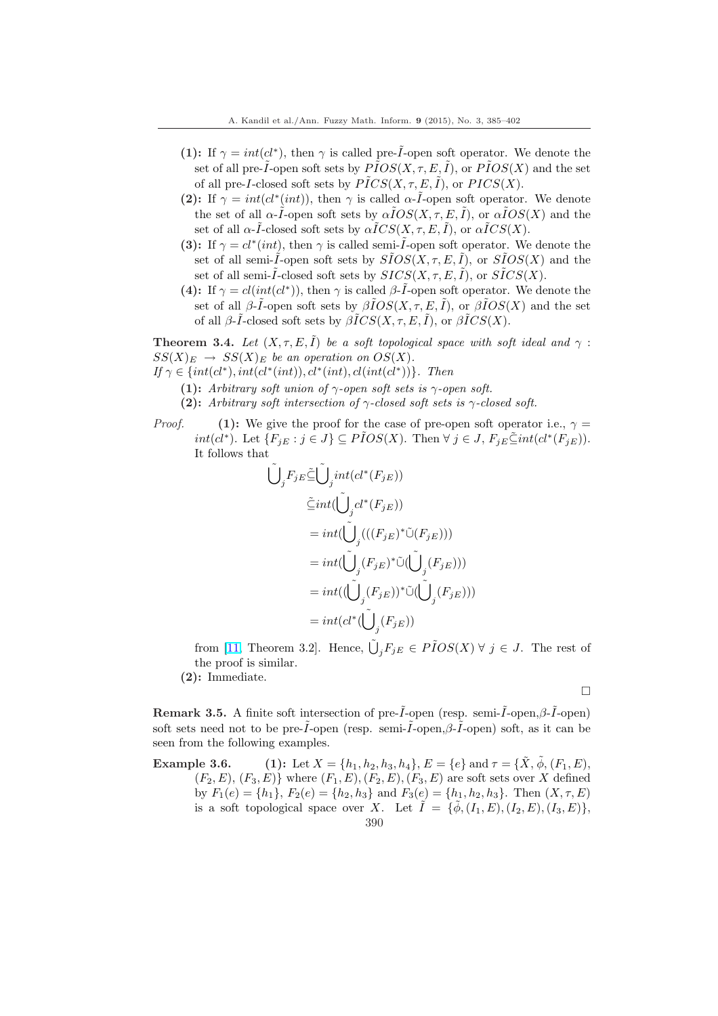- (1): If  $\gamma = int(cl^*)$ , then  $\gamma$  is called pre- $\tilde{I}$ -open soft operator. We denote the set of all pre-*I*-open soft sets by  $PIOS(X, \tau, E, I)$ , or  $PIOS(X)$  and the set of all pre-I-closed soft sets by  $\text{PICS}(X, \tau, E, I)$ , or  $\text{PICS}(X)$ .
- (2): If  $\gamma = int(cl^*(int))$ , then  $\gamma$  is called  $\alpha$ -*I*-open soft operator. We denote the set of all  $\alpha-\tilde{I}$ -open soft sets by  $\alpha\tilde{I}OS(X,\tau,E,\tilde{I})$ , or  $\alpha\tilde{I}OS(X)$  and the set of all  $\alpha$ - $\tilde{I}$ -closed soft sets by  $\alpha \tilde{I}CS(X, \tau, E, \tilde{I})$ , or  $\alpha \tilde{I}CS(X)$ .
- (3): If  $\gamma = cl^*(int)$ , then  $\gamma$  is called semi- $\tilde{I}$ -open soft operator. We denote the set of all semi- $\tilde{I}$ -open soft sets by  $\tilde{S}IOS(X, \tau, E, \tilde{I})$ , or  $\tilde{S}IOS(X)$  and the set of all semi- $\tilde{I}$ -closed soft sets by  $SICS(X, \tau, E, \tilde{I})$ , or  $S\tilde{I}CS(X)$ .
- (4): If  $\gamma = cl(int(cl^*))$ , then  $\gamma$  is called  $\beta$ -*I*-open soft operator. We denote the set of all  $\beta$ - $\tilde{I}$ -open soft sets by  $\beta \tilde{I}OS(X, \tau, E, \tilde{I})$ , or  $\beta \tilde{I}OS(X)$  and the set of all  $\beta$ - $\tilde{I}$ -closed soft sets by  $\beta \tilde{I}CS(X, \tau, E, \tilde{I})$ , or  $\beta \tilde{I}CS(X)$ .

**Theorem 3.4.** Let  $(X, \tau, E, \tilde{I})$  be a soft topological space with soft ideal and  $\gamma$ :  $SS(X)_E \rightarrow SS(X)_E$  be an operation on  $OS(X)$ .

- If  $\gamma \in \{int(cl^*), int(cl^*(int)), cl^*(int), cl(int(cl^*))\}$ . Then
	- (1): Arbitrary soft union of  $\gamma$ -open soft sets is  $\gamma$ -open soft.
	- (2): Arbitrary soft intersection of  $\gamma$ -closed soft sets is  $\gamma$ -closed soft.

*Proof.* (1): We give the proof for the case of pre-open soft operator i.e.,  $\gamma =$ *int*(*cl*<sup>\*</sup>). Let  ${F_{jE} : j \in J}$  ⊆  $\tilde{POS}(X)$ . Then  $\forall j \in J$ ,  $F_{jE} \tilde{\subseteq} int(cl^*(F_{jE}))$ . It follows that

$$
\begin{aligned} \tilde{\bigcup}_j F_{jE} \tilde{\subseteq} \tilde{\bigcup}_j int(cl^*(F_{jE})) \\ \tilde{\subseteq} int (\tilde{\bigcup}_j cl^*(F_{jE})) \\ = int (\tilde{\bigcup}_j (((F_{jE})^*\tilde{\cup}(F_{jE}))) \\ = int (\tilde{\bigcup}_j (F_{jE})^*\tilde{\cup} (\tilde{\bigcup}_j (F_{jE}))) \\ = int ((\tilde{\bigcup}_j (F_{jE}))^*\tilde{\cup} (\tilde{\bigcup}_j (F_{jE}))) \\ = int(cl^*(\tilde{\bigcup}_j (F_{jE})) \end{aligned}
$$

from [11, Theorem 3.2]. Hence,  $\tilde{\bigcup}_j F_{jE} \in \tilde{PIOS}(X) \ \forall \ j \in J$ . The rest of the proof is similar.

(2): Immediate.

¤

Remark 3.5. [A](#page-16-0) finite soft intersection of pre- $\tilde{I}$ -open (resp. semi- $\tilde{I}$ -open, $\beta$ - $\tilde{I}$ -open) soft sets need not to be pre- $\tilde{I}$ -open (resp. semi- $\tilde{I}$ -open, $\beta$ - $\tilde{I}$ -open) soft, as it can be seen from the following examples.

Example 3.6. (1): Let  $X = \{h_1, h_2, h_3, h_4\}$ ,  $E = \{e\}$  and  $\tau = \{\tilde{X}, \tilde{\phi}, (F_1, E),$  $(F_2, E), (F_3, E)$  where  $(F_1, E), (F_2, E), (F_3, E)$  are soft sets over X defined by  $F_1(e) = \{h_1\}, F_2(e) = \{h_2, h_3\}$  and  $F_3(e) = \{h_1, h_2, h_3\}.$  Then  $(X, \tau, E)$ is a soft topological space over X. Let  $I = \{\phi, (I_1, E), (I_2, E), (I_3, E)\},\$ 390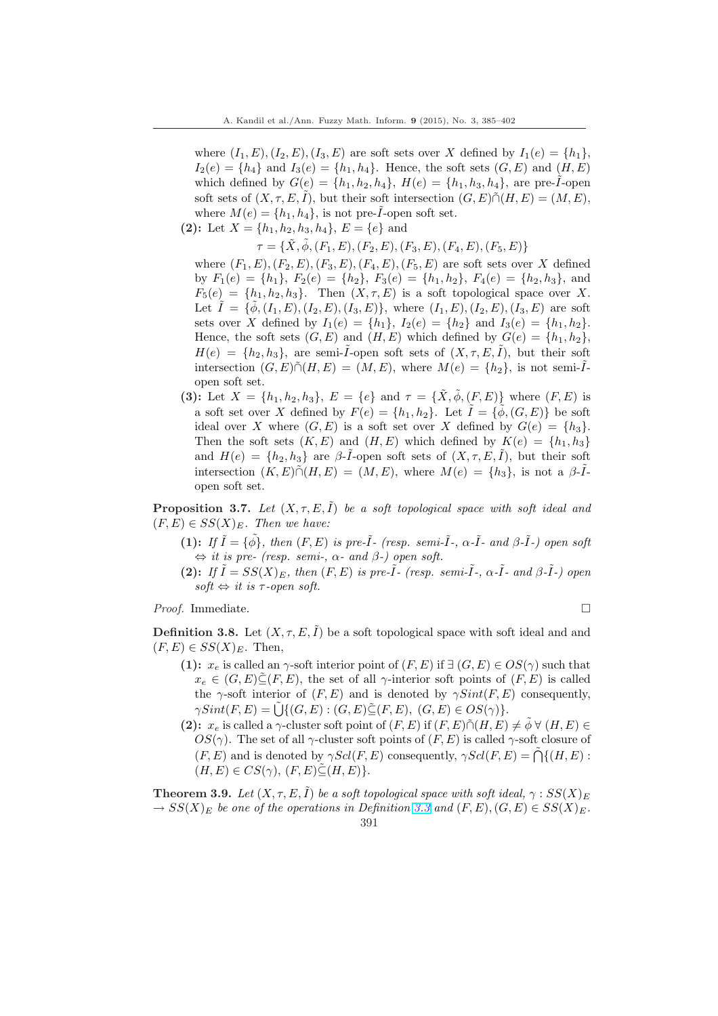where  $(I_1, E), (I_2, E), (I_3, E)$  are soft sets over X defined by  $I_1(e) = \{h_1\}$ ,  $I_2(e) = \{h_4\}$  and  $I_3(e) = \{h_1, h_4\}$ . Hence, the soft sets  $(G, E)$  and  $(H, E)$ which defined by  $G(e) = \{h_1, h_2, h_4\}, H(e) = \{h_1, h_3, h_4\},$  are pre-*I*-open soft sets of  $(X, \tau, E, I)$ , but their soft intersection  $(G, E) \tilde{\cap} (H, E) = (M, E)$ , where  $M(e) = \{h_1, h_4\}$ , is not pre- $\tilde{I}$ -open soft set.

(2): Let  $X = \{h_1, h_2, h_3, h_4\}$ ,  $E = \{e\}$  and

 $\tau = {\tilde{X}, \tilde{\phi}, (F_1, E), (F_2, E), (F_3, E), (F_4, E), (F_5, E)}$ 

where  $(F_1, E), (F_2, E), (F_3, E), (F_4, E), (F_5, E)$  are soft sets over X defined by  $F_1(e) = \{h_1\}, F_2(e) = \{h_2\}, F_3(e) = \{h_1, h_2\}, F_4(e) = \{h_2, h_3\},$  and  $F_5(e) = \{h_1, h_2, h_3\}.$  Then  $(X, \tau, E)$  is a soft topological space over X. Let  $I = {\tilde{\phi}, (I_1, E), (I_2, E), (I_3, E)},$  where  $(I_1, E), (I_2, E), (I_3, E)$  are soft sets over X defined by  $I_1(e) = \{h_1\}$ ,  $I_2(e) = \{h_2\}$  and  $I_3(e) = \{h_1, h_2\}$ . Hence, the soft sets  $(G, E)$  and  $(H, E)$  which defined by  $G(e) = \{h_1, h_2\}$ ,  $H(e) = \{h_2, h_3\}$ , are semi- $\tilde{I}$ -open soft sets of  $(X, \tau, E, \tilde{I})$ , but their soft intersection  $(G, E) \tilde{\cap} (H, E) = (M, E)$ , where  $M(e) = \{h_2\}$ , is not semi- $\tilde{I}$ open soft set.

(3): Let  $X = \{h_1, h_2, h_3\}, E = \{e\}$  and  $\tau = \{\tilde{X}, \tilde{\phi}, (F, E)\}$  where  $(F, E)$  is a soft set over X defined by  $F(e) = \{h_1, h_2\}$ . Let  $\tilde{I} = \{\tilde{\phi}, (G, E)\}\$ be soft ideal over X where  $(G, E)$  is a soft set over X defined by  $G(e) = \{h_3\}.$ Then the soft sets  $(K, E)$  and  $(H, E)$  which defined by  $K(e) = \{h_1, h_3\}$ and  $H(e) = \{h_2, h_3\}$  are  $\beta$ -*I*-open soft sets of  $(X, \tau, E, I)$ , but their soft intersection  $(K, E) \tilde{\cap} (H, E) = (M, E)$ , where  $M(e) = \{h_3\}$ , is not a  $\beta$ - $\tilde{I}$ open soft set.

**Proposition 3.7.** Let  $(X, \tau, E, \tilde{I})$  be a soft topological space with soft ideal and  $(F, E) \in SS(X)_E$ . Then we have:

- (1): If  $\tilde{I} = {\tilde{\phi}}$ , then  $(F, E)$  is pre- $\tilde{I}$  (resp. semi- $\tilde{I}$ -,  $\alpha$ - $\tilde{I}$  and  $\beta$ - $\tilde{I}$ -) open soft  $\Leftrightarrow$  it is pre- (resp. semi-,  $\alpha$ - and  $\beta$ -) open soft.
- (2): If  $\tilde{I} = SS(X)_{E}$ , then  $(F, E)$  is pre- $\tilde{I}$  (resp. semi- $\tilde{I}$ -,  $\alpha$ - $\tilde{I}$  and  $\beta$ - $\tilde{I}$ -) open soft  $\Leftrightarrow$  it is  $\tau$ -open soft.

*Proof.* Immediate.  $\Box$ 

**Definition 3.8.** Let  $(X, \tau, E, \tilde{I})$  be a soft topological space with soft ideal and and  $(F, E) \in SS(X)_E$ . Then,

- (1):  $x_e$  is called an  $\gamma$ -soft interior point of  $(F, E)$  if  $\exists (G, E) \in OS(\gamma)$  such that  $x_e \in (G, E) \tilde{\subseteq} (F, E)$ , the set of all  $\gamma$ -interior soft points of  $(F, E)$  is called the γ-soft interior of  $(F, E)$  and is denoted by  $\gamma Sint(F, E)$  consequently,  $\gamma Sint(F, E) = \tilde{\bigcup} \{ (G, E) : (G, E) \tilde{\subseteq} (F, E), (G, E) \in OS(\gamma) \}.$
- (2):  $x_e$  is called a  $\gamma$ -cluster soft point of  $(F, E)$  if  $(F, E) \cap (H, E) \neq \tilde{\phi} \ \forall \ (H, E) \in$ OS(γ). The set of all γ-cluster soft points of  $(F, E)$  is called γ-soft closure of  $(F, E)$  and is denoted by  $\gamma Sel(F, E)$  consequently,  $\gamma Sel(F, E) = \tilde{\bigcap} \{ (H, E) :$  $(H, E) \in CS(\gamma), (F, E) \subseteq (H, E)$ .

**Theorem 3.9.** Let  $(X, \tau, E, \tilde{I})$  be a soft topological space with soft ideal,  $\gamma : SS(X)_E$  $\rightarrow SS(X)_E$  be one of the operations in Definition 3.3 and  $(F, E), (G, E) \in SS(X)_E$ .

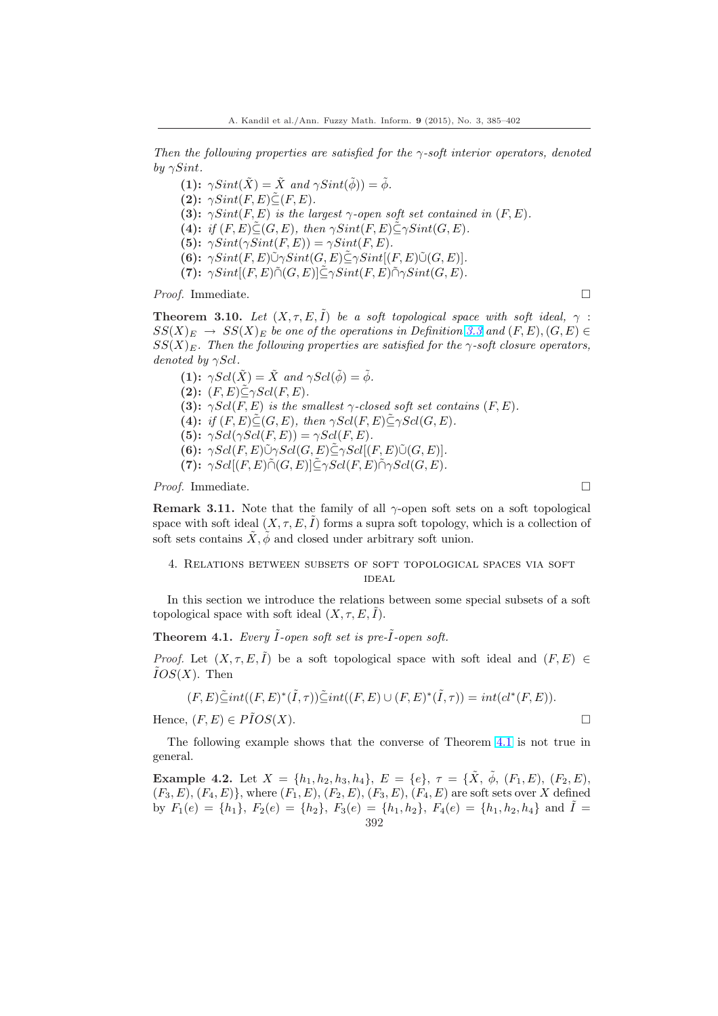<span id="page-7-0"></span>Then the following properties are satisfied for the  $\gamma$ -soft interior operators, denoted by  $\gamma Sint$ .

(1):  $\gamma Sint(\tilde{X}) = \tilde{X}$  and  $\gamma Sint(\tilde{\phi}) = \tilde{\phi}$ . (2):  $\gamma Sint(F, E) \tilde{\subseteq} (F, E)$ . (3):  $\gamma Sint(F, E)$  is the largest  $\gamma$ -open soft set contained in  $(F, E)$ . (4): if  $(F, E) \tilde{\subset} (G, E)$ , then  $\gamma Sint(F, E) \tilde{\subset} \gamma Sint(G, E)$ . (5):  $\gamma Sint(\gamma Sint(F, E)) = \gamma Sint(F, E)$ . (6):  $\gamma Sint(F, E)\tilde{\cup}\gamma Sint(G, E)\tilde{\subseteq}\gamma Sint[(F, E)\tilde{\cup}(G, E)].$ (7):  $\gamma Sint[(F, E)\tilde{\cap} (G, E)]\tilde{\subseteq} \gamma Sint(F, E)\tilde{\cap} \gamma Sint(G, E).$ 

*Proof.* Immediate.  $\square$ 

**Theorem 3.10.** Let  $(X, \tau, E, \tilde{I})$  be a soft topological space with soft ideal,  $\gamma$ :  $SS(X)_E \rightarrow SS(X)_E$  be one of the operations in Definition 3.3 and  $(F, E), (G, E) \in$  $SS(X)<sub>E</sub>$ . Then the following properties are satisfied for the  $\gamma$ -soft closure operators, denoted by  $\gamma Scl.$ 

(1):  $\gamma Scl(\tilde{X}) = \tilde{X}$  and  $\gamma Scl(\tilde{\phi}) = \tilde{\phi}$ . (2):  $(F, E) \widetilde{\subseteq} \gamma Scl(F, E)$ . (3):  $\gamma Scl(F, E)$  is the smallest  $\gamma$ -closed soft set contains  $(F, E)$ . (4): if  $(F, E) \subseteq (G, E)$ , then  $\gamma Scl(F, E) \subseteq \gamma Scl(G, E)$ . (5):  $\gamma Sel(\gamma Sel(F, E)) = \gamma Sel(F, E)$ . (6):  $\gamma Scl(F, E)\tilde{\cup}\gamma Scl(G, E)\tilde{\subseteq}\gamma Scl[(F, E)\tilde{\cup}(G, E)].$ (7):  $\gamma Sel[(F, E)\tilde{\cap} (G, E)] \tilde{\subseteq} \gamma Sel(F, E) \tilde{\cap} \gamma Sel(G, E).$ 

*Proof.* Immediate.  $\Box$ 

**Remark 3.11.** Note that the family of all  $\gamma$ -open soft sets on a soft topological space with soft ideal  $(X, \tau, E, I)$  forms a supra soft topology, which is a collection of soft sets contains  $\tilde{X}, \tilde{\phi}$  and closed under arbitrary soft union.

# 4. Relations between subsets of soft topological spaces via soft **IDEAL**

In this section we introduce the relations between some special subsets of a soft topological space with soft ideal  $(X, \tau, E, I)$ .

**Theorem 4.1.** Every  $\tilde{I}$ -open soft set is pre- $\tilde{I}$ -open soft.

*Proof.* Let  $(X, \tau, E, I)$  be a soft topological space with soft ideal and  $(F, E) \in$  $IOS(X)$ . Then

$$
(F, E)\tilde{\subseteq} int((F, E)^*(\tilde{I}, \tau))\tilde{\subseteq} int((F, E) \cup (F, E)^*(\tilde{I}, \tau)) = int(cl^*(F, E)).
$$

Hence,  $(F, E) \in \widetilde{P} \overline{I} OS(X)$ .

The following example shows that the converse of Theorem 4.1 is not true in general.

Example 4.2. Let  $X = \{h_1, h_2, h_3, h_4\}$ ,  $E = \{e\}$ ,  $\tau = \{\tilde{X}, \tilde{\phi}, (F_1, E), (F_2, E),$  $(F_3, E), (F_4, E)$ , where  $(F_1, E), (F_2, E), (F_3, E), (F_4, E)$  are soft sets over X defined by  $F_1(e) = \{h_1\}$ ,  $F_2(e) = \{h_2\}$ ,  $F_3(e) = \{h_1, h_2\}$ ,  $F_4(e) = \{h_1, h_2, h_4\}$  and  $\tilde{I} =$ 392

$$
\mathfrak{u}^-
$$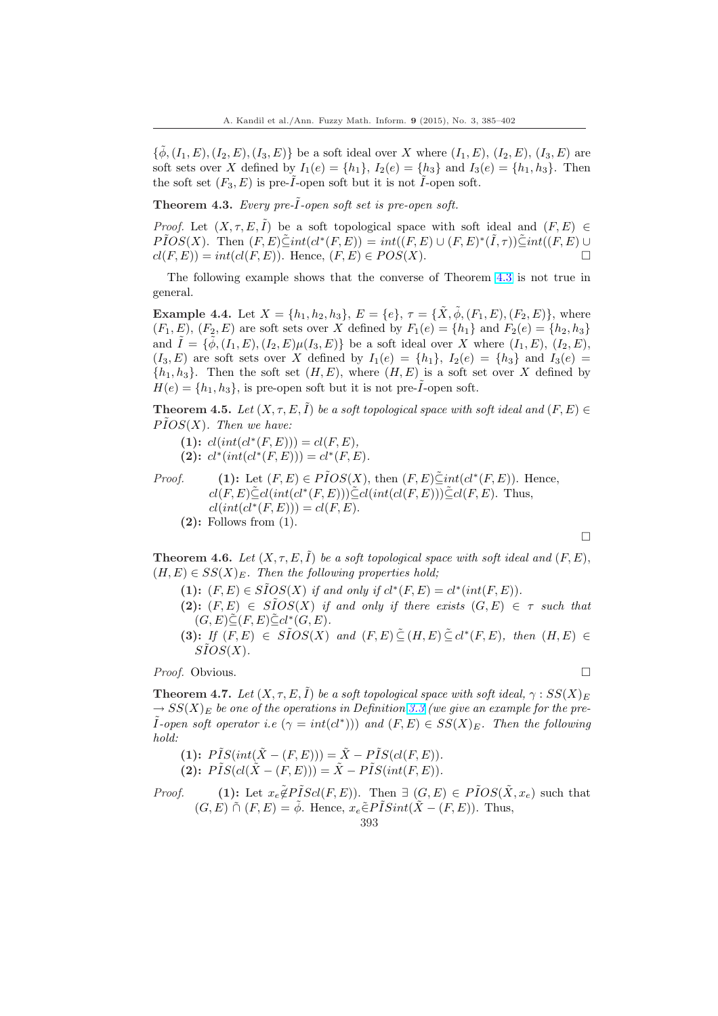<span id="page-8-0"></span> $\{\tilde{\phi},(I_1,E),(I_2,E),(I_3,E)\}\$ be a soft ideal over X where  $(I_1,E),(I_2,E),(I_3,E)$  are soft sets over X defined by  $I_1(e) = \{h_1\}$ ,  $I_2(e) = \{h_3\}$  and  $I_3(e) = \{h_1, h_3\}$ . Then the soft set  $(F_3, E)$  is pre-*I*-open soft but it is not *I*-open soft.

Theorem 4.3. Every pre- $\tilde{I}$ -open soft set is pre-open soft.

*Proof.* Let  $(X, \tau, E, \tilde{I})$  be a soft topological space with soft ideal and  $(F, E) \in$  $\tilde{PIOS}(X)$ . Then  $(F, E) \tilde{\subseteq} int(cl^*(F, E)) = int((F, E) \cup (F, E)^*(\tilde{I}, \tau)) \tilde{\subseteq} int((F, E) \cup$  $cl(F, E) = int(cl(F, E))$ . Hence,  $(F, E) \in POS(X)$ .

The following example shows that the converse of Theorem 4.3 is not true in general.

**Example 4.4.** Let  $X = \{h_1, h_2, h_3\}$ ,  $E = \{e\}$ ,  $\tau = \{\tilde{X}, \tilde{\phi}, (F_1, E), (F_2, E)\}$ , where  $(F_1, E), (F_2, E)$  are soft sets over X defined by  $F_1(e) = \{h_1\}$  and  $F_2(e) = \{h_2, h_3\}$ and  $I = {\phi, (I_1, E), (I_2, E) \mu(I_3, E)}$  be a soft ideal over X where  $(I_1, E), (I_2, E),$  $(I_3, E)$  are soft sets over X defined by  $I_1(e) = \{h_1\}$ ,  $I_2(e) = \{h_3\}$  and  $I_3(e) =$  $\{h_1, h_3\}$ . Then the soft set  $(H, E)$ , where  $(H, E)$  is a soft set over X defined by  $H(e) = \{h_1, h_3\}$ , is pre-open soft but it is not pre- $\tilde{I}$ -open soft.

**Theorem 4.5.** Let  $(X, \tau, E, I)$  be a soft topological space with soft ideal and  $(F, E) \in$  $\tilde{PIOS}(X)$ . Then we have:

(1):  $cl(int(cl^*(F, E))) = cl(F, E),$ (2):  $cl^*(int(cl^*(F, E))) = cl^*(F, E).$ 

*Proof.* (1): Let  $(F, E) \in \widetilde{P} \widetilde{I} \mathcal{O} \mathcal{S}(\mathcal{X})$ , then  $(F, E) \widetilde{\subseteq} \mathrm{int}(cl^*(F, E))$ . Hence,  $cl(F, E) \tilde{\subseteq} cl(int(cl^*(F, E))) \tilde{\subseteq} cl(int(cl(F, E))) \tilde{\subseteq} cl(F, E)$ . Thus,  $cl(int(cl^*(F, E))) = cl(F, E).$  $(2)$ : Follows from  $(1)$ .

**Theorem 4.6.** Let  $(X, \tau, E, \tilde{I})$  be a soft topological space with soft ideal and  $(F, E)$ ,  $(H, E) \in SS(X)_E$ . Then the following properties hold;

- (1):  $(F, E) \in \widetilde{S} \widetilde{I} O S(X)$  if and only if  $cl^*(F, E) = cl^*(int(F, E)).$
- (2):  $(F, E) \in SIOS(X)$  if and only if there exists  $(G, E) \in \tau$  such that  $(G, E) \tilde{\subseteq} (F, E) \tilde{\subseteq} cl^*(G, E).$

¤

(3): If  $(F, E) \in S\tilde{I}OS(X)$  and  $(F, E) \subseteq H, E) \subseteq cl^*(F, E)$ , then  $(H, E) \in$  $S\tilde{I}OS(X).$ 

*Proof.* Obvious. □

**Theorem 4.7.** Let  $(X, \tau, E, \tilde{I})$  be a soft topological space with soft ideal,  $\gamma : SS(X)_{E}$  $\rightarrow SS(X)_{E}$  be one of the operations in Definition 3.3 (we give an example for the pre-*I*-open soft operator i.e  $(\gamma = int(cl^*)))$  and  $(F, E) \in SS(X)_E$ . Then the following hold:

(1):  $\tilde{PIS}(int(\tilde{X} - (F, E))) = \tilde{X} - \tilde{PIS}(cl(F, E)).$ (2):  $\tilde{PIS}(cl(\tilde{X} - (F, E))) = \tilde{X} - \tilde{PIS}(int(F, E)).$  $\tilde{PIS}(cl(\tilde{X} - (F, E))) = \tilde{X} - \tilde{PIS}(int(F, E)).$  $\tilde{PIS}(cl(\tilde{X} - (F, E))) = \tilde{X} - \tilde{PIS}(int(F, E)).$ 

*Proof.* (1): Let  $x_e \tilde{\notin} P \tilde{I} Scl(F, E)$ . Then  $\exists (G, E) \in \tilde{P} \tilde{I}OS(\tilde{X}, x_e)$  such that  $(G, E) \cap (F, E) = \phi$ . Hence,  $x_e \in PISint(X - (F, E))$ . Thus,

$$
393\,
$$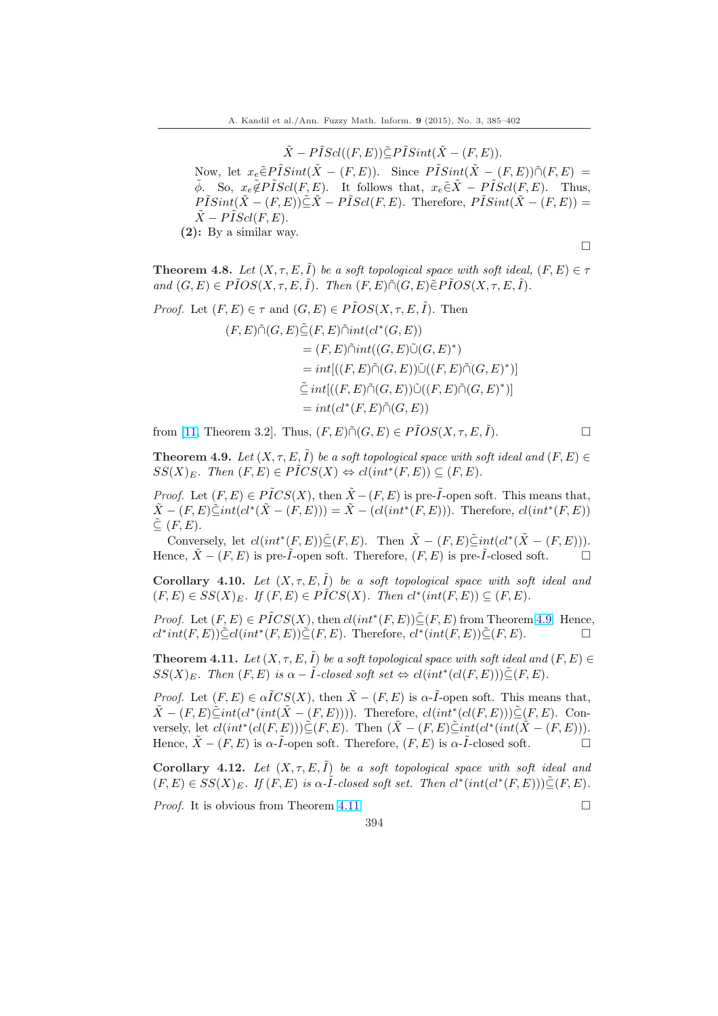$\tilde{X} - P\tilde{I}Scl((F, E))\tilde{\subset}P\tilde{I}Sint(\tilde{X} - (F, E)).$ 

<span id="page-9-0"></span>Now, let  $x_e \in \tilde{P} \tilde{I} Sint(\tilde{X} - (F, E))$ . Since  $\tilde{P} \tilde{I} Sint(\tilde{X} - (F, E)) \tilde{\cap} (F, E) =$  $\tilde{\phi}$ . So,  $x_e \tilde{\phi} P \tilde{I} Scl(F, E)$ . It follows that,  $x_e \tilde{\in} \tilde{X} - P \tilde{I} Scl(F, E)$ . Thus,  $P\tilde{I}Sint(\tilde{X} - (F, E))\tilde{\subset}\tilde{X} - P\tilde{I}Scl(F, E)$ . Therefore,  $P\tilde{I}Sint(\tilde{X} - (F, E)) =$  $\tilde{X}$  –  $\tilde{PIScl}(F, E)$ . (2): By a similar way.

**Theorem 4.8.** Let  $(X, \tau, E, \tilde{I})$  be a soft topological space with soft ideal,  $(F, E) \in \tau$ and  $(G, E) \in P\tilde{I}OS(X, \tau, E, \tilde{I})$ . Then  $(F, E)\tilde{\cap}(G, E) \in P\tilde{I}OS(X, \tau, E, \tilde{I})$ .

*Proof.* Let  $(F, E) \in \tau$  and  $(G, E) \in \tilde{POS}(X, \tau, E, \tilde{I})$ . Then

$$
(F, E)\tilde{\cap}(G, E)\tilde{\subseteq}(F, E)\tilde{\cap}int(cl^*(G, E))
$$
  
=  $(F, E)\tilde{\cap}int((G, E)\tilde{\cup}(G, E)^*)$   
=  $int[((F, E)\tilde{\cap}(G, E))\tilde{\cup}((F, E)\tilde{\cap}(G, E)^*)]$   
 $\tilde{\subseteq}int[((F, E)\tilde{\cap}(G, E))\tilde{\cup}((F, E)\tilde{\cap}(G, E)^*)]$   
=  $int(cl^*(F, E)\tilde{\cap}(G, E))$ 

from [11, Theorem 3.2]. Thus,  $(F, E) \tilde{\cap} (G, E) \in \tilde{POS}(X, \tau, E, \tilde{I}).$ 

**Theorem 4.9.** Let  $(X, \tau, E, I)$  be a soft topological space with soft ideal and  $(F, E) \in$  $SS(X)_E$ . Then  $(F, E) \in P \tilde{I} CS(X) \Leftrightarrow cl(int^*(F, E)) \subseteq (F, E)$ .

*Proof.* [L](#page-16-0)et  $(F, E) \in P \tilde{I} CS(X)$ , then  $\tilde{X} - (F, E)$  is pre- $\tilde{I}$ -open soft. This means that,  $\tilde{X} - (F, E) \tilde{\subseteq} int(cl^*(\tilde{X} - (F, E))) = \tilde{X} - (cl(int^*(F, E))).$  Therefore,  $cl(int^*(F, E))$  $\tilde{\subseteq}$   $(F, E)$ .

Conversely, let  $cl(int^*(F, E)) \subseteq (F, E)$ . Then  $\tilde{X} - (F, E) \subseteq int(cl^*(\tilde{X} - (F, E)))$ . Hence,  $\tilde{X} - (F, E)$  is pre- $\tilde{I}$ -open soft. Therefore,  $(F, E)$  is pre- $\tilde{I}$ -closed soft.  $\Box$ 

Corollary 4.10. Let  $(X, \tau, E, \tilde{I})$  be a soft topological space with soft ideal and  $(F, E) \in SS(X)_E$ . If  $(F, E) \in P \tilde{I} CS(X)$ . Then  $cl^*(int(F, E)) \subseteq (F, E)$ .

*Proof.* Let  $(F, E) \in P \tilde{I} CS(X)$ , then  $cl(int^*(F, E)) \tilde{\subseteq} (F, E)$  from Theorem 4.9. Hence,  $cl^*int(F, E))\tilde{\subseteq} cl(int^*(F, E))\tilde{\subseteq} (F, E).$  Therefore,  $cl^*(int(F, E))\tilde{\subseteq} (F, E).$ 

**Theorem 4.11.** Let  $(X, \tau, E, \tilde{I})$  be a soft topological space with soft ideal and  $(F, E) \in$  $SS(X)_E$ . Then  $(F, E)$  is  $\alpha - \tilde{I}$ -closed soft set  $\Leftrightarrow cl(int^*(cl(F, E)) \subseteq (F, E)$ .

*Proof.* Let  $(F, E) \in \alpha \tilde{I}CS(X)$ , then  $\tilde{X} - (F, E)$  is  $\alpha$ - $\tilde{I}$ -open soft. This means that,  $\tilde{X} - (F, E) \leq int(cl^*(int(\tilde{X} - (F, E))))$ . Therefore,  $cl(int^*(cl(F, E))) \subseteq (F, E)$ . Conversely, let  $cl(int^*(cl(F, E)) \leq (F, E)$ . Then  $(\tilde{X} - (F, E) \leq int(cl^*(int(\tilde{X} - (F, E))).$ Hence,  $\tilde{X} - (F, E)$  is  $\alpha$ - $\tilde{I}$ -open soft. Therefore,  $(F, E)$  is  $\alpha$ - $\tilde{I}$ -closed soft.

Corollary 4.12. Let  $(X, \tau, E, I)$  be a soft topological space with soft ideal and  $(F, E) \in SS(X)_E$ . If  $(F, E)$  is  $\alpha$ - $\tilde{I}$ -closed soft set. Then  $cl^*(int(cl^*(F, E))) \tilde{\subseteq} (F, E)$ .

*Proof.* It is obvious from Theorem 4.11.  $\Box$ 

 $\Box$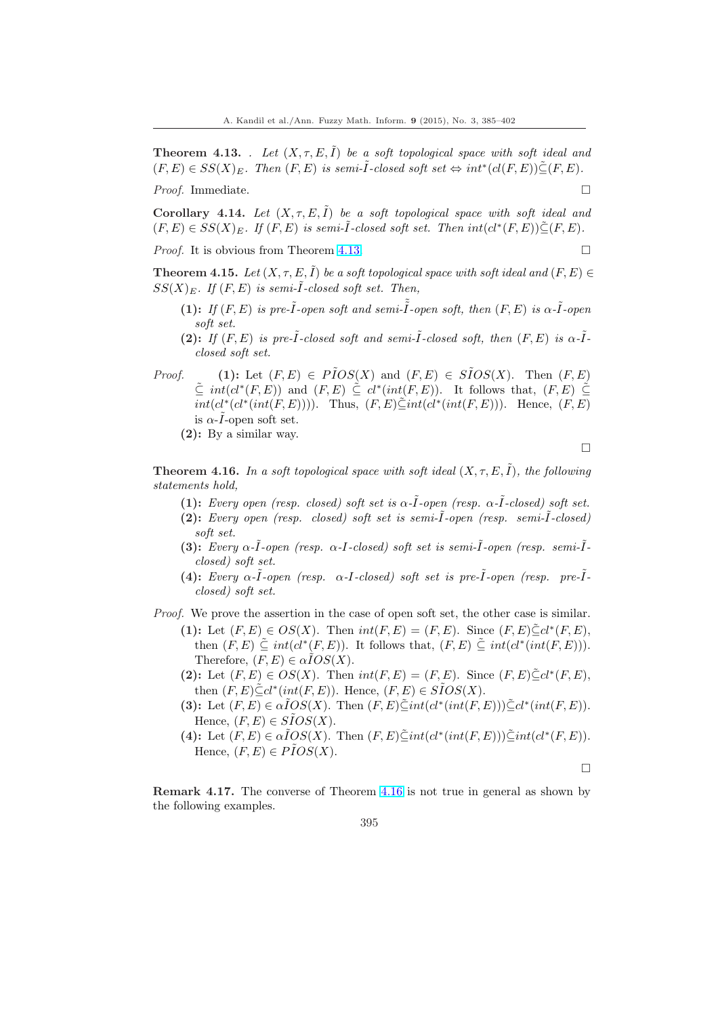<span id="page-10-0"></span>**Theorem 4.13.** . Let  $(X, \tau, E, \tilde{I})$  be a soft topological space with soft ideal and  $(F, E) \in SS(X)_E$ . Then  $(F, E)$  is semi- $\tilde{I}$ -closed soft set  $\Leftrightarrow int^*(cl(F, E)) \tilde{\subseteq} (F, E)$ .

*Proof.* Immediate.  $\Box$ 

Corollary 4.14. Let  $(X, \tau, E, \tilde{I})$  be a soft topological space with soft ideal and  $(F, E) \in SS(X)_E$ . If  $(F, E)$  is semi- $\tilde{I}$ -closed soft set. Then  $int(cl^*(F, E)) \tilde{\subseteq} (F, E)$ .

*Proof.* It is obvious from Theorem 4.13.  $\Box$ 

**Theorem 4.15.** Let  $(X, \tau, E, \tilde{I})$  be a soft topological space with soft ideal and  $(F, E) \in$  $SS(X)_E$ . If  $(F, E)$  is semi- $\tilde{I}$ -closed soft set. Then,

- (1): If  $(F, E)$  is pre- $\tilde{I}$ -open s[oft an](#page-9-0)d semi- $\tilde{I}$ -open soft, then  $(F, E)$  is  $\alpha$ - $\tilde{I}$ -open soft set.
- (2): If  $(F, E)$  is pre- $\tilde{I}$ -closed soft and semi- $\tilde{I}$ -closed soft, then  $(F, E)$  is  $\alpha$ - $\tilde{I}$ closed soft set.
- *Proof.* (1): Let  $(F, E) \in \tilde{PIOS}(X)$  and  $(F, E) \in \tilde{SIOS}(X)$ . Then  $(F, E)$  $\tilde{\subseteq} int(cl^*(F,E))$  and  $(F, E) \leq cl^*(int(F,E))$ . It follows that,  $(F, E) \leq$  $int(cl^*(cl^*(int(F, E))))$ . Thus,  $(F, E) \tilde{\subseteq} int(cl^*(int(F, E)))$ . Hence,  $(F, E)$ is  $\alpha$ -*I*-open soft set.
	- (2): By a similar way.

¤

**Theorem 4.16.** In a soft topological space with soft ideal  $(X, \tau, E, \tilde{I})$ , the following statements hold,

- (1): Every open (resp. closed) soft set is  $\alpha$ - $\tilde{I}$ -open (resp.  $\alpha$ - $\tilde{I}$ -closed) soft set. (2): Every open (resp. closed) soft set is semi- $\tilde{I}$ -open (resp. semi- $\tilde{I}$ -closed)
- soft set. (3): Every  $\alpha$ - $\tilde{I}$ -open (resp.  $\alpha$ - $I$ -closed) soft set is semi- $\tilde{I}$ -open (resp. semi- $\tilde{I}$ closed) soft set.
- (4): Every  $\alpha$ - $\tilde{I}$ -open (resp.  $\alpha$ - $I$ -closed) soft set is pre- $\tilde{I}$ -open (resp. pre- $\tilde{I}$ closed) soft set.

Proof. We prove the assertion in the case of open soft set, the other case is similar.

- (1): Let  $(F, E) \in OS(X)$ . Then  $int(F, E) = (F, E)$ . Since  $(F, E) \tilde{\subseteq} cl^*(F, E)$ , then  $(F, E) \subseteq int(cl^*(F, E))$ . It follows that,  $(F, E) \subseteq int(cl^*(int(F, E))).$ Therefore,  $(F, E) \in \alpha \overline{IOS(X)}$ .
- (2): Let  $(F, E) \in OS(X)$ . Then  $int(F, E) = (F, E)$ . Since  $(F, E) \subseteq cl^*(F, E)$ , then  $(F, E) \leq cl^*(int(F, E))$ . Hence,  $(F, E) \in S\tilde{I}OS(X)$ .
- (3): Let  $(F, E) \in \alpha \tilde{I}OS(X)$ . Then  $(F, E) \tilde{\subseteq} int(cl^*(int(F, E))) \tilde{\subseteq} cl^*(int(F, E))$ . Hence,  $(F, E) \in \widetilde{SIOS}(X)$ .
- (4): Let  $(F, E) \in \alpha \tilde{I}OS(X)$ . Then  $(F, E) \tilde{\subseteq} int(cl^*(int(F, E))) \tilde{\subseteq} int(cl^*(F, E))$ . Hence,  $(F, E) \in P\tilde{I}OS(X)$ .

¤

Remark 4.17. The converse of Theorem 4.16 is not true in general as shown by the following examples.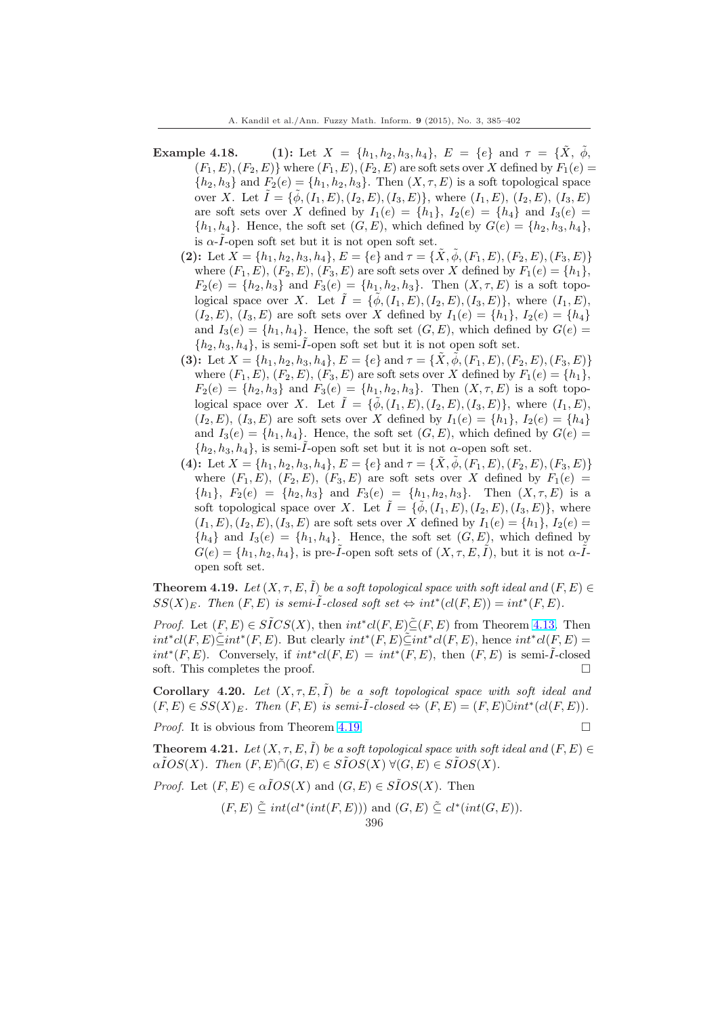- Example 4.18. (1): Let  $X = \{h_1, h_2, h_3, h_4\}$ ,  $E = \{e\}$  and  $\tau = \{\tilde{X}, \tilde{\phi}, \tilde{\phi}\}$  $(F_1, E), (F_2, E)$  where  $(F_1, E), (F_2, E)$  are soft sets over X defined by  $F_1(e)$  ${h_2, h_3}$  and  $F_2(e) = {h_1, h_2, h_3}$ . Then  $(X, \tau, E)$  is a soft topological space over X. Let  $I = \{\phi, (I_1, E), (I_2, E), (I_3, E)\}\$ , where  $(I_1, E), (I_2, E), (I_3, E)\$ are soft sets over X defined by  $I_1(e) = \{h_1\}$ ,  $I_2(e) = \{h_4\}$  and  $I_3(e) =$  $\{h_1, h_4\}$ . Hence, the soft set  $(G, E)$ , which defined by  $G(e) = \{h_2, h_3, h_4\}$ , is  $\alpha$ - $\tilde{I}$ -open soft set but it is not open soft set.
	- (2): Let  $X = \{h_1, h_2, h_3, h_4\}, E = \{e\}$  and  $\tau = \{X, \phi, (F_1, E), (F_2, E), (F_3, E)\}$ where  $(F_1, E), (F_2, E), (F_3, E)$  are soft sets over X defined by  $F_1(e) = \{h_1\},$  $F_2(e) = \{h_2, h_3\}$  and  $F_3(e) = \{h_1, h_2, h_3\}$ . Then  $(X, \tau, E)$  is a soft topological space over X. Let  $\tilde{I} = {\tilde{\phi}, (I_1, E), (I_2, E), (I_3, E)}$ , where  $(I_1, E)$ ,  $(I_2, E), (I_3, E)$  are soft sets over X defined by  $I_1(e) = \{h_1\}, I_2(e) = \{h_4\}$ and  $I_3(e) = \{h_1, h_4\}$ . Hence, the soft set  $(G, E)$ , which defined by  $G(e)$  $\{h_2, h_3, h_4\}$ , is semi- $\tilde{I}$ -open soft set but it is not open soft set.
	- (3): Let  $X = \{h_1, h_2, h_3, h_4\}$ ,  $E = \{e\}$  and  $\tau = \{\tilde{X}, \phi, (F_1, E), (F_2, E), (F_3, E)\}$ where  $(F_1, E)$ ,  $(F_2, E)$ ,  $(F_3, E)$  are soft sets over X defined by  $F_1(e) = \{h_1\}$ ,  $F_2(e) = \{h_2, h_3\}$  and  $F_3(e) = \{h_1, h_2, h_3\}$ . Then  $(X, \tau, E)$  is a soft topological space over X. Let  $\tilde{I} = {\tilde{\phi}, (I_1, E), (I_2, E), (I_3, E)}$ , where  $(I_1, E)$ ,  $(I_2, E), (I_3, E)$  are soft sets over X defined by  $I_1(e) = \{h_1\}, I_2(e) = \{h_4\}$ and  $I_3(e) = \{h_1, h_4\}$ . Hence, the soft set  $(G, E)$ , which defined by  $G(e)$  $\{h_2, h_3, h_4\}$ , is semi- $\tilde{I}$ -open soft set but it is not  $\alpha$ -open soft set.
	- (4): Let  $X = \{h_1, h_2, h_3, h_4\}, E = \{e\}$  and  $\tau = \{\hat{X}, \phi, (F_1, E), (F_2, E), (F_3, E)\}\$ where  $(F_1, E)$ ,  $(F_2, E)$ ,  $(F_3, E)$  are soft sets over X defined by  $F_1(e)$  =  $\{h_1\}, F_2(e) = \{h_2, h_3\}$  and  $F_3(e) = \{h_1, h_2, h_3\}$ . Then  $(X, \tau, E)$  is a soft topological space over X. Let  $\tilde{I} = {\tilde{\phi}, (I_1, E), (I_2, E), (I_3, E)}$ , where  $(I_1, E), (I_2, E), (I_3, E)$  are soft sets over X defined by  $I_1(e) = \{h_1\}, I_2(e) =$  ${h_4}$  and  $I_3(e) = {h_1, h_4}$ . Hence, the soft set  $(G, E)$ , which defined by  $G(e) = \{h_1, h_2, h_4\}$ , is pre- $\tilde{I}$ -open soft sets of  $(X, \tau, E, \tilde{I})$ , but it is not  $\alpha$ - $\tilde{I}$ open soft set.

**Theorem 4.19.** Let  $(X, \tau, E, \tilde{I})$  be a soft topological space with soft ideal and  $(F, E) \in$  $SS(X)_E$ . Then  $(F, E)$  is semi- $\tilde{I}$ -closed soft set  $\Leftrightarrow int^*(cl(F, E)) = int^*(F, E)$ .

*Proof.* Let  $(F, E) \in \widetilde{SICS}(X)$ , then  $int^* cl(F, E) \widetilde{\subseteq} (F, E)$  from Theorem 4.13. Then  $int^*cl(F, E)\tilde{\subseteq} int^*(F, E)$ . But clearly  $int^*(F, E)\tilde{\subseteq} int^*cl(F, E)$ , hence  $int^*cl(F, E)$  $int^*(F, E)$ . Conversely, if  $int^*cl(F, E) = int^*(F, E)$ , then  $(F, E)$  is semi- $\tilde{I}$ -closed soft. This completes the proof.  $\Box$ 

Corollary 4.20. Let  $(X, \tau, E, \tilde{I})$  be a soft topological space with sof[t idea](#page-9-0)l and  $(F, E) \in SS(X)_E$ . Then  $(F, E)$  is semi- $\tilde{I}$ -closed  $\Leftrightarrow (F, E) = (F, E) \tilde{\cup} int^*(cl(F, E)).$ 

*Proof.* It is obvious from Theorem 4.19.  $\Box$ 

**Theorem 4.21.** Let  $(X, \tau, E, I)$  be a soft topological space with soft ideal and  $(F, E) \in$  $\alpha \tilde{I}OS(X)$ . Then  $(F, E) \tilde{\cap} (G, E) \in \tilde{S} \tilde{I}OS(X)$   $\forall (G, E) \in \tilde{S} \tilde{I}OS(X)$ .

*Proof.* Let  $(F, E) \in \alpha \tilde{I}OS(X)$  and  $(G, E) \in \tilde{S}ios(X)$ . Then

$$
(F, E) \subseteq int(cl^*(int(F, E)))
$$
 and  $(G, E) \subseteq cl^*(int(G, E)).$   
396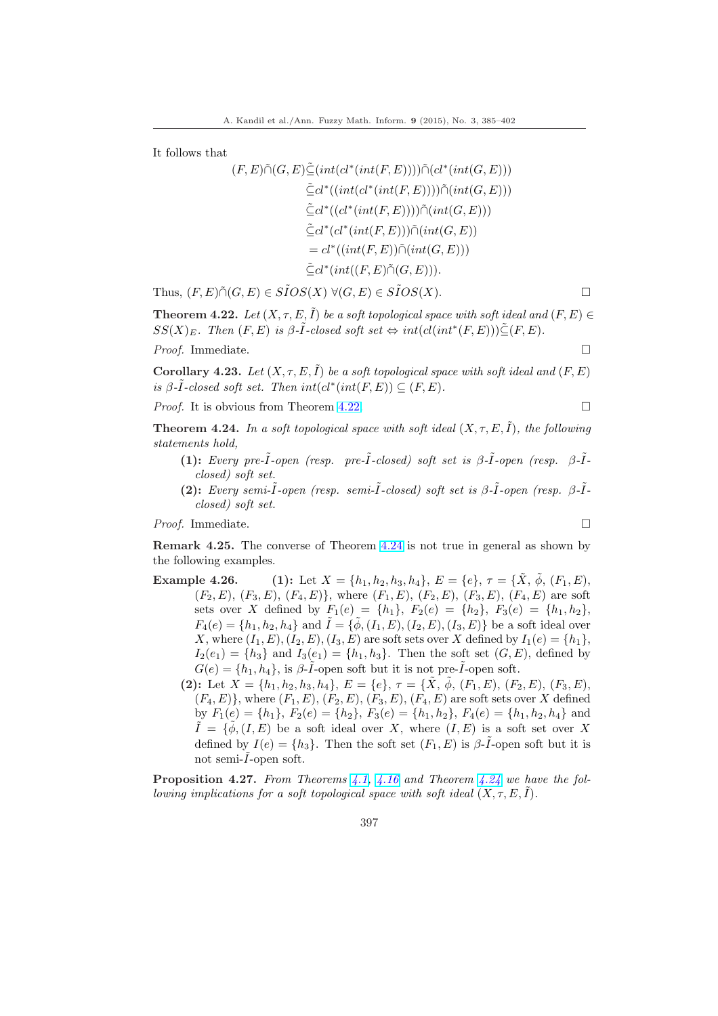It follows that

$$
(F, E)\tilde{\cap}(G, E)\tilde{\subseteq}(int(cl^*(int(F, E))))\tilde{\cap}(cl^*(int(G, E)))
$$
  
\n
$$
\tilde{\subseteq} cl^*((int(cl^*(int(F, E))))\tilde{\cap}(int(G, E)))
$$
  
\n
$$
\tilde{\subseteq} cl^*((cl^*(int(F, E)))\tilde{\cap}(int(G, E)))
$$
  
\n
$$
\tilde{\subseteq} cl^*(cl^*(int(F, E))\tilde{\cap}(int(G, E))
$$
  
\n
$$
= cl^*((int(F, E)\tilde{\cap}(G, E))).
$$

Thus,  $(F, E) \tilde{\cap} (G, E) \in S\tilde{I}OS(X) \ \forall (G, E) \in S\tilde{I}OS(X)$ .

**Theorem 4.22.** Let  $(X, \tau, E, \tilde{I})$  be a soft topological space with soft ideal and  $(F, E) \in$  $SS(X)_E$ . Then  $(F, E)$  is  $\beta$ - $\tilde{I}$ -closed soft set  $\Leftrightarrow int(cl(int^*(F, E)))\tilde{\subseteq} (F, E)$ .

*Proof.* Immediate.  $\Box$ 

Corollary 4.23. Let  $(X, \tau, E, \tilde{I})$  be a soft topological space with soft ideal and  $(F, E)$ is  $\beta$ - $\tilde{I}$ -closed soft set. Then  $int(cl^*(int(F,E)) \subseteq (F,E)$ .

*Proof.* It is obvious from Theorem 4.22.  $\Box$ 

**Theorem 4.24.** In a soft topological space with soft ideal  $(X, \tau, E, \tilde{I})$ , the following statements hold,

- (1): Every pre- $\tilde{I}$ -open (resp. pre- $\tilde{I}$ -closed) soft set is  $\beta$ - $\tilde{I}$ -open (resp.  $\beta$ - $\tilde{I}$ closed) soft set.
- (2): Every semi- $\tilde{I}$ -open (resp. semi- $\tilde{I}$ -closed) soft set is  $\beta$ - $\tilde{I}$ -open (resp.  $\beta$ - $\tilde{I}$ closed) soft set.

*Proof.* Immediate.  $\Box$ 

Remark 4.25. The converse of Theorem 4.24 is not true in general as shown by the following examples.

- Example 4.26. (1): Let  $X = \{h_1, h_2, h_3, h_4\}$ ,  $E = \{e\}$ ,  $\tau = \{\tilde{X}, \tilde{\phi}, (F_1, E),$  $(F_2, E), (F_3, E), (F_4, E)$ , where  $(F_1, E), (F_2, E), (F_3, E), (F_4, E)$  are soft sets over X defined by  $F_1(e) = \{h_1\}, F_2(e) = \{h_2\}, F_3(e) = \{h_1, h_2\},$  $F_4(e) = \{h_1, h_2, h_4\}$  and  $\tilde{I} = \{\tilde{\phi}, (I_1, E), (I_2, E), (I_3, E)\}\$  be a soft ideal over X, where  $(I_1, E), (I_2, E), (I_3, E)$  are soft sets over X defined by  $I_1(e) = \{h_1\},$  $I_2(e_1) = \{h_3\}$  and  $I_3(e_1) = \{h_1, h_3\}$ . Then the soft set  $(G, E)$ , defined by  $G(e) = \{h_1, h_4\}$ , is  $\beta\text{-}\tilde{I}$ -open soft but it is not pre- $\tilde{I}$ -open soft.
	- (2): Let  $X = \{h_1, h_2, h_3, h_4\}, E = \{e\}, \tau = \{\tilde{X}, \tilde{\phi}, (F_1, E), (F_2, E), (F_3, E),$  $(F_4, E)$ , where  $(F_1, E), (F_2, E), (F_3, E), (F_4, E)$  are soft sets over X defined by  $F_1(e) = \{h_1\}, F_2(e) = \{h_2\}, F_3(e) = \{h_1, h_2\}, F_4(e) = \{h_1, h_2, h_4\}$  and  $\tilde{I} = \{\tilde{\phi}, (I, E) \text{ be a soft ideal over } X, \text{ where } (I, E) \text{ is a soft set over } X$ defined by  $I(e) = \{h_3\}$ . Then the soft set  $(F_1, E)$  is  $\beta$ - $\tilde{I}$ -open soft but it is not semi- $\tilde{I}$ -open soft.

**Proposition 4.27.** From Theorems 4.1, 4.16 and Theorem 4.24 we have the following implications for a soft topological space with soft ideal  $(X, \tau, E, I)$ .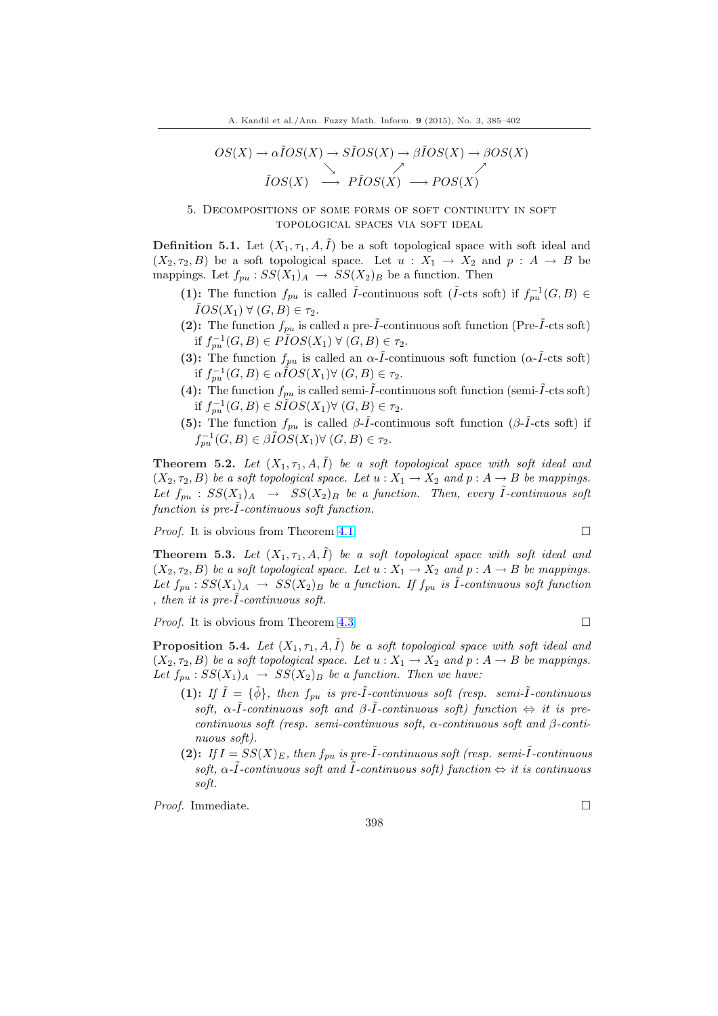<span id="page-13-0"></span>
$$
OS(X) \to \alpha \tilde{I}OS(X) \to \tilde{S} \tilde{I}OS(X) \to \beta \tilde{I}OS(X) \to \beta OS(X)
$$
  

$$
\tilde{I}OS(X) \to \tilde{P} \tilde{I}OS(X) \to POS(X)
$$

5. Decompositions of some forms of soft continuity in soft topological spaces via soft ideal

**Definition 5.1.** Let  $(X_1, \tau_1, A, \tilde{I})$  be a soft topological space with soft ideal and  $(X_2, \tau_2, B)$  be a soft topological space. Let  $u : X_1 \to X_2$  and  $p : A \to B$  be mappings. Let  $f_{pu}$ :  $SS(X_1)_A \rightarrow SS(X_2)_B$  be a function. Then

- (1): The function  $f_{pu}$  is called  $\tilde{I}$ -continuous soft ( $\tilde{I}$ -cts soft) if  $f_{pu}^{-1}(G, B) \in$  $IOS(X_1) \ \forall \ (G, B) \in \tau_2.$
- (2): The function  $f_{pu}$  is called a pre- $\tilde{I}$ -continuous soft function (Pre- $\tilde{I}$ -cts soft) if  $f_{pu}^{-1}(G, B) \in \widetilde{PDS}(X_1) \ \forall \ (G, B) \in \tau_2$ .
- (3): The function  $f_{pu}$  is called an  $\alpha$ - $\tilde{I}$ -continuous soft function ( $\alpha$ - $\tilde{I}$ -cts soft) if  $f_{pu}^{-1}(G, B) \in \alpha \hat{I}OS(X_1) \forall (G, B) \in \tau_2$ .
- (4): The function  $f_{pu}$  is called semi- $\tilde{I}$ -continuous soft function (semi- $\tilde{I}$ -cts soft) if  $f_{pu}^{-1}(G, B) \in \widetilde{SIOS}(X_1) \forall (G, B) \in \tau_2$ .
- (5): The function  $f_{pu}$  is called  $\beta-\tilde{I}$ -continuous soft function ( $\beta-\tilde{I}$ -cts soft) if  $f_{pu}^{-1}(G, B) \in \beta \tilde{I}OS(X_1) \forall (G, B) \in \tau_2.$

**Theorem 5.2.** Let  $(X_1, \tau_1, A, \tilde{I})$  be a soft topological space with soft ideal and  $(X_2, \tau_2, B)$  be a soft topological space. Let  $u : X_1 \to X_2$  and  $p : A \to B$  be mappings. Let  $f_{pu}$  :  $SS(X_1)_A \rightarrow SS(X_2)_B$  be a function. Then, every I-continuous soft  $function$  is  $pre-I$ -continuous soft function.

*Proof.* It is obvious from Theorem 4.1.  $\Box$ 

**Theorem 5.3.** Let  $(X_1, \tau_1, A, \tilde{I})$  be a soft topological space with soft ideal and  $(X_2, \tau_2, B)$  be a soft topological space. Let  $u : X_1 \to X_2$  and  $p : A \to B$  be mappings. Let  $f_{pu}: SS(X_1)_A \rightarrow SS(X_2)_B$  b[e a f](#page-7-0)unction. If  $f_{pu}$  is  $\tilde{I}$ -continuous soft function , then it is pre- $I$ -continuous soft.

*Proof.* It is obvious from Theorem 4.3.  $\Box$ 

**Proposition 5.4.** Let  $(X_1, \tau_1, A, \tilde{I})$  be a soft topological space with soft ideal and  $(X_2, \tau_2, B)$  be a soft topological space. Let  $u : X_1 \to X_2$  and  $p : A \to B$  be mappings. Let  $f_{pu}$ :  $SS(X_1)_A \rightarrow SS(X_2)_B$  b[e a f](#page-8-0)unction. Then we have:

- (1): If  $\tilde{I} = {\tilde{\phi}}$ , then  $f_{pu}$  is pre- $\tilde{I}$ -continuous soft (resp. semi- $\tilde{I}$ -continuous soft,  $\alpha$ - $\tilde{I}$ -continuous soft and  $\beta$ - $\tilde{I}$ -continuous soft) function  $\Leftrightarrow$  it is precontinuous soft (resp. semi-continuous soft,  $\alpha$ -continuous soft and  $\beta$ -continuous soft).
- (2): If  $I = SS(X)_{E}$ , then  $f_{pu}$  is pre- $\tilde{I}$ -continuous soft (resp. semi- $\tilde{I}$ -continuous soft,  $\alpha$ - $\tilde{I}$ -continuous soft and  $\tilde{I}$ -continuous soft) function  $\Leftrightarrow$  it is continuous soft.

*Proof.* Immediate.  $\Box$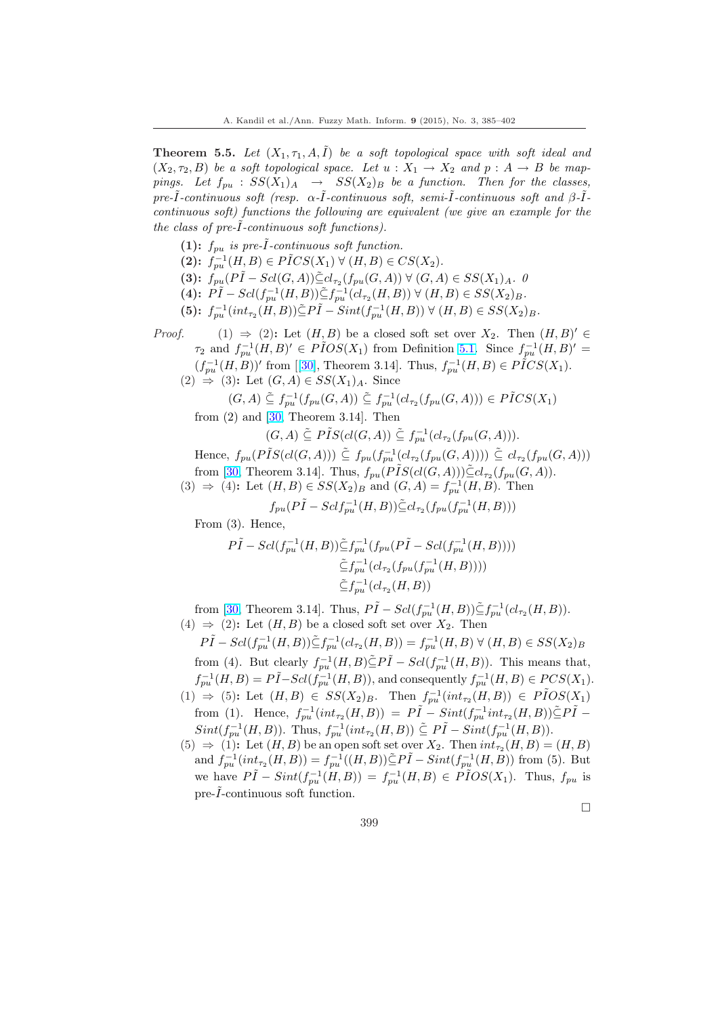**Theorem 5.5.** Let  $(X_1, \tau_1, A, \tilde{I})$  be a soft topological space with soft ideal and  $(X_2, \tau_2, B)$  be a soft topological space. Let  $u : X_1 \to X_2$  and  $p : A \to B$  be mappings. Let  $f_{pu}$  :  $SS(X_1)_A \rightarrow SS(X_2)_B$  be a function. Then for the classes, pre- $\tilde{I}$ -continuous soft (resp.  $\alpha$ - $\tilde{I}$ -continuous soft, semi- $\tilde{I}$ -continuous soft and  $\beta$ - $\tilde{I}$ continuous soft) functions the following are equivalent (we give an example for the the class of  $pre-I$ -continuous soft functions).

(1):  $f_{pu}$  is pre- $\tilde{I}$ -continuous soft function. (2):  $f_{pu}^{-1}(H, B) \in P \tilde{I} CS(X_1) \ \forall \ (H, B) \in CS(X_2)$ . (3):  $\hat{f}_{pu}(P\tilde{I} - Scl(G, A)) \tilde{\subseteq} cl_{\tau_2}(f_{pu}(G, A)) \ \forall \ (G, A) \in SS(X_1)_{A}.$  0  $(4): \ \tilde{PI} - \text{Sel}(f_{pu}^{-1}(H, B)) \tilde{\subseteq} f_{pu}^{-1}(cl_{\tau_2}(H, B)) \ \forall \ (H, B) \in \text{SS}(X_2)_B.$ (5):  $f_{pu}^{-1}(int_{\tau_2}(H,B))\tilde{\subseteq}P\tilde{I}-Sint(f_{pu}^{-1}(H,B))\ \forall\ (H,B)\in SS(X_2)_B.$ *Proof.* (1)  $\Rightarrow$  (2): Let  $(H, B)$  be a closed soft set over  $X_2$ . Then  $(H, B)' \in$  $\tau_2$  and  $f_{pu}^{-1}(H, B)' \in \widetilde{PIOS}(X_1)$  from Definition 5.1. Since  $f_{pu}^{-1}(H, B)' =$  $(f_{pu}^{-1}(H,B))'$  from [[30], Theorem 3.14]. Thus,  $f_{pu}^{-1}(H,B) \in P \r ICS(X_1)$ .  $(2) \Rightarrow (3)$ : Let  $(G, A) \in SS(X_1)_A$ . Since  $(G, A) \subseteq f_{pu}^{-1}(f_{pu}(G, A)) \subseteq f_{pu}^{-1}(cl_{\tau_2}(f_{pu}(G, A))) \in P\tilde{I}CS(X_1)$  $(G, A) \subseteq f_{pu}^{-1}(f_{pu}(G, A)) \subseteq f_{pu}^{-1}(cl_{\tau_2}(f_{pu}(G, A))) \in P\tilde{I}CS(X_1)$  $(G, A) \subseteq f_{pu}^{-1}(f_{pu}(G, A)) \subseteq f_{pu}^{-1}(cl_{\tau_2}(f_{pu}(G, A))) \in P\tilde{I}CS(X_1)$ from  $(2)$  and  $[30,$  T[heo](#page-17-0)rem 3.14]. Then  $(G, A) \subseteq P\tilde{I}S(cl(G, A)) \subseteq f_{pu}^{-1}(cl_{\tau_2}(f_{pu}(G, A))).$ Hence,  $f_{pu}(P\tilde{I}S(cl(G, A))) \subseteq f_{pu}(f_{pu}^{-1}(cl_{\tau_2}(f_{pu}(G, A)))) \subseteq cl_{\tau_2}(f_{pu}(G, A)))$ from [30, The[ore](#page-17-0)m 3.14]. Thus,  $f_{pu}(P\tilde{I}S(cl(G, A)))\tilde{\subseteq} cl_{\tau_2}(f_{pu}(G, A)).$ (3) ⇒ (4): Let  $(H, B) \in SS(X_2)$ <sub>B</sub> and  $(G, A) = f_{pu}^{-1}(H, B)$ . Then  $f_{pu}(P\tilde{I} - Sclf_{pu}^{-1}(H, B)) \tilde{\subseteq} cl_{\tau_2}(f_{pu}(f_{pu}^{-1}(H, B)))$ From  $(3)$ . Hence  $P\tilde{I} - Scl(f_{pu}^{-1}(H, B)) \tilde{\subseteq} f_{pu}^{-1}(f_{pu}(P\tilde{I} - Scl(f_{pu}^{-1}(H, B))))$  $\tilde{\subseteq} f_{pu}^{-1}(cl_{\tau_2}(f_{pu}(f_{pu}^{-1}(H,B))))$  $\tilde{\subseteq} f_{pu}^{-1}(cl_{\tau_2}(H,B))$ from [30, Theorem 3.14]. Thus,  $P\tilde{I} - Scl(f_{pu}^{-1}(H,B)) \tilde{\subseteq} f_{pu}^{-1}(cl_{\tau_2}(H,B)).$  $(4) \Rightarrow (2)$ : Let  $(H, B)$  be a closed soft set over  $X_2$ . Then  $P\tilde{I} - Scl(f_{pu}^{-1}(H,B)) \tilde{\subseteq} f_{pu}^{-1}(cl_{\tau_2}(H,B)) = f_{pu}^{-1}(H,B) \ \forall \ (H,B) \in SS(X_2)_B$ from [\(4\).](#page-17-0) But clearly  $f_{pu}^{-1}(H, B) \tilde{\subseteq} P\tilde{I} - Scl(f_{pu}^{-1}(H, B))$ . This means that,  $f_{pu}^{-1}(H, B) = P\tilde{I} - Scl(\tilde{f}_{pu}^{-1}(H, B)),$  and consequently  $f_{pu}^{-1}(H, B) \in PCS(X_1)$ .  $(1) \Rightarrow (5)$ : Let  $(H, B) \in SS(X_2)_B$ . Then  $f_{pu}^{-1}(int_{\tau_2}(H, B)) \in P\tilde{I}OS(X_1)$ from (1). Hence,  $f_{pu}^{-1}(int_{\tau_2}(H,B)) = P\tilde{I} - Sint(f_{pu}^{-1}int_{\tau_2}(H,B))\tilde{\subseteq}P\tilde{I} Sint(f_{pu}^{-1}(H,B))$ . Thus,  $f_{pu}^{-1}(int_{\tau_2}(H,B)) \subseteq P\tilde{I} - Sint(f_{pu}^{-1}(H,B))$ .

 $(5) \Rightarrow (1)$ : Let  $(H, B)$  be an open soft set over  $X_2$ . Then  $int_{\tau_2}(H, B) = (H, B)$ and  $f_{pu}^{-1}(int_{\tau_2}(H,B)) = f_{pu}^{-1}((H,B)) \tilde{\subseteq} P\tilde{I} - Sint(f_{pu}^{-1}(H,B))$  from (5). But we have  $P\tilde{I} - Sint(f_{pu}^{-1}(H, B)) = f_{pu}^{-1}(H, B) \in \tilde{P}IOS(X_1)$ . Thus,  $f_{pu}$  is pre- $\tilde{I}$ -continuous soft function.

¤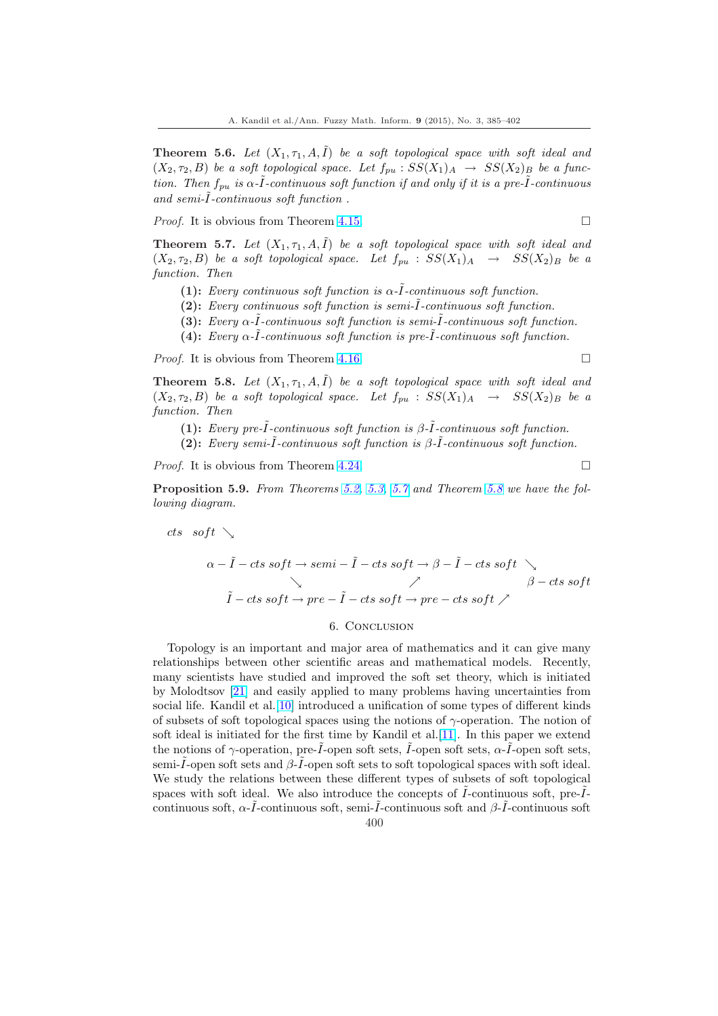**Theorem 5.6.** Let  $(X_1, \tau_1, A, \tilde{I})$  be a soft topological space with soft ideal and  $(X_2, \tau_2, B)$  be a soft topological space. Let  $f_{pu} : SS(X_1)_A \rightarrow SS(X_2)_B$  be a function. Then  $f_{pu}$  is  $\alpha$ - $\tilde{I}$ -continuous soft function if and only if it is a pre- $\tilde{I}$ -continuous and semi-I-continuous soft function.

*Proof.* It is obvious from Theorem 4.15.  $\Box$ 

**Theorem 5.7.** Let  $(X_1, \tau_1, A, I)$  be a soft topological space with soft ideal and  $(X_2, \tau_2, B)$  be a soft topological space. Let  $f_{pu} : SS(X_1)_A \rightarrow SS(X_2)_B$  be a function. Then

- (1): Every continuous soft fu[nctio](#page-10-0)n is  $\alpha$ - $\tilde{I}$ -continuous soft function.
- $(2)$ : Every continuous soft function is semi- $\tilde{I}$ -continuous soft function.
- (3): Every  $\alpha$ - $\tilde{I}$ -continuous soft function is semi- $\tilde{I}$ -continuous soft function.
- (4): Every  $\alpha$ - $\tilde{I}$ -continuous soft function is pre- $\tilde{I}$ -continuous soft function.

*Proof.* It is obvious from Theorem 4.16.  $\Box$ 

**Theorem 5.8.** Let  $(X_1, \tau_1, A, \tilde{I})$  be a soft topological space with soft ideal and  $(X_2, \tau_2, B)$  be a soft topological space. Let  $f_{pu} : SS(X_1)_A \rightarrow SS(X_2)_B$  be a function. Then

(1): Every pre- $\tilde{I}$ -continuous [soft fu](#page-10-0)nction is  $\beta$ - $\tilde{I}$ -continuous soft function.

(2): Every semi- $\tilde{I}$ -continuous soft function is  $\beta$ - $\tilde{I}$ -continuous soft function.

*Proof.* It is obvious from Theorem 4.24.  $\Box$ 

Proposition 5.9. From Theorems 5.2, 5.3, 5.7 and Theorem 5.8 we have the following diagram.

$$
\begin{array}{ccccc}\n\text{cts} & \text{soft} & \searrow & \\
\alpha - \tilde{I} - \text{cts soft} \rightarrow \text{semi} - \tilde{I} - \text{cts soft} \rightarrow \beta - \tilde{I} - \text{cts soft} & \\
\searrow & \nearrow & \beta - \text{cts soft} \\
\tilde{I} - \text{cts soft} \rightarrow \text{pre} - \tilde{I} - \text{cts soft} \rightarrow \text{pre} - \text{cts soft} \nearrow & \beta - \text{cts soft}\n\end{array}
$$

#### 6. Conclusion

Topology is an important and major area of mathematics and it can give many relationships between other scientific areas and mathematical models. Recently, many scientists have studied and improved the soft set theory, which is initiated by Molodtsov [21] and easily applied to many problems having uncertainties from social life. Kandil et al.[10] introduced a unification of some types of different kinds of subsets of soft topological spaces using the notions of  $\gamma$ -operation. The notion of soft ideal is initiated for the first time by Kandil et al.[11]. In this paper we extend the notions of  $\gamma$ [-op](#page-16-0)eration, pre- $\tilde{I}$ -open soft sets,  $\tilde{I}$ -open soft sets,  $\alpha$ - $\tilde{I}$ -open soft sets, semi- $\tilde{I}$ -open soft sets and  $\beta$ - $\tilde{I}$ -open soft sets to soft topological spaces with soft ideal. We study the relations between these different types of subsets of soft topological spaces with soft ideal. We also introduce the concept[s of](#page-16-0)  $\tilde{I}$ -continuous soft, pre- $\tilde{I}$ continuous soft,  $\alpha$ - $\tilde{I}$ -continuous soft, semi- $\tilde{I}$ -continuous soft and β- $\tilde{I}$ -continuous soft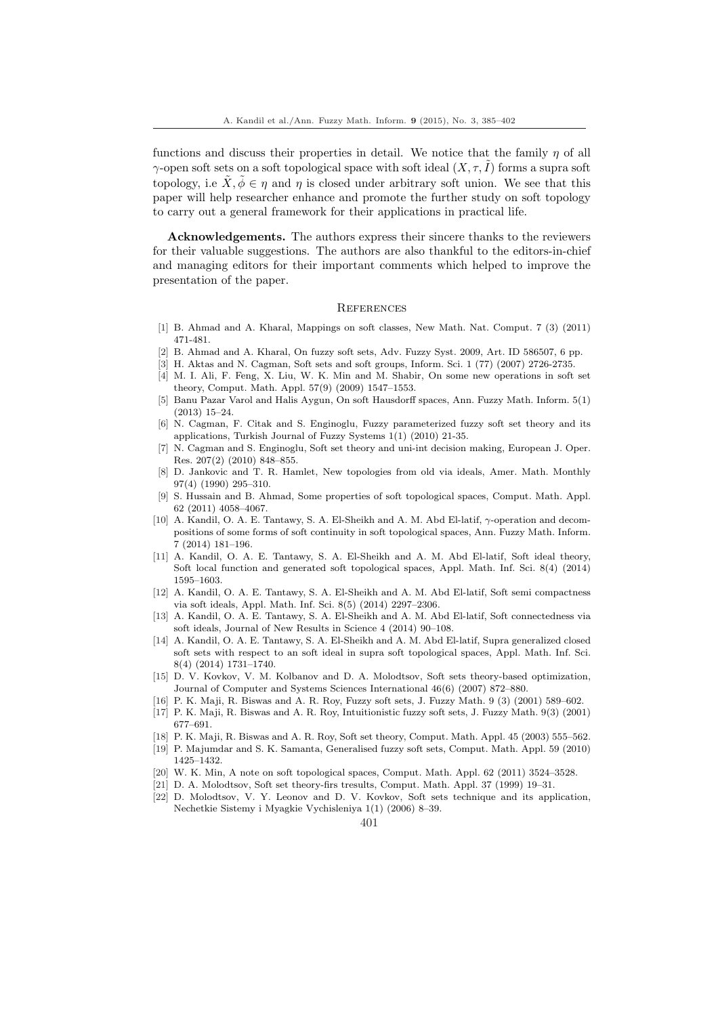<span id="page-16-0"></span>functions and discuss their properties in detail. We notice that the family  $\eta$  of all  $\gamma$ -open soft sets on a soft topological space with soft ideal  $(X, \tau, I)$  forms a supra soft topology, i.e  $\tilde{X}, \tilde{\phi} \in \eta$  and  $\eta$  is closed under arbitrary soft union. We see that this paper will help researcher enhance and promote the further study on soft topology to carry out a general framework for their applications in practical life.

Acknowledgements. The authors express their sincere thanks to the reviewers for their valuable suggestions. The authors are also thankful to the editors-in-chief and managing editors for their important comments which helped to improve the presentation of the paper.

### **REFERENCES**

- [1] B. Ahmad and A. Kharal, Mappings on soft classes, New Math. Nat. Comput. 7 (3) (2011) 471-481.
- [2] B. Ahmad and A. Kharal, On fuzzy soft sets, Adv. Fuzzy Syst. 2009, Art. ID 586507, 6 pp.
- [3] H. Aktas and N. Cagman, Soft sets and soft groups, Inform. Sci. 1 (77) (2007) 2726-2735.
- [4] M. I. Ali, F. Feng, X. Liu, W. K. Min and M. Shabir, On some new operations in soft set theory, Comput. Math. Appl. 57(9) (2009) 1547–1553.
- [5] Banu Pazar Varol and Halis Aygun, On soft Hausdorff spaces, Ann. Fuzzy Math. Inform. 5(1) (2013) 15–24.
- [6] N. Cagman, F. Citak and S. Enginoglu, Fuzzy parameterized fuzzy soft set theory and its applications, Turkish Journal of Fuzzy Systems 1(1) (2010) 21-35.
- [7] N. Cagman and S. Enginoglu, Soft set theory and uni-int decision making, European J. Oper. Res. 207(2) (2010) 848–855.
- [8] D. Jankovic and T. R. Hamlet, New topologies from old via ideals, Amer. Math. Monthly 97(4) (1990) 295–310.
- [9] S. Hussain and B. Ahmad, Some properties of soft topological spaces, Comput. Math. Appl. 62 (2011) 4058–4067.
- [10] A. Kandil, O. A. E. Tantawy, S. A. El-Sheikh and A. M. Abd El-latif,  $\gamma$ -operation and decompositions of some forms of soft continuity in soft topological spaces, Ann. Fuzzy Math. Inform. 7 (2014) 181–196.
- [11] A. Kandil, O. A. E. Tantawy, S. A. El-Sheikh and A. M. Abd El-latif, Soft ideal theory, Soft local function and generated soft topological spaces, Appl. Math. Inf. Sci. 8(4) (2014) 1595–1603.
- [12] A. Kandil, O. A. E. Tantawy, S. A. El-Sheikh and A. M. Abd El-latif, Soft semi compactness via soft ideals, Appl. Math. Inf. Sci. 8(5) (2014) 2297–2306.
- [13] A. Kandil, O. A. E. Tantawy, S. A. El-Sheikh and A. M. Abd El-latif, Soft connectedness via soft ideals, Journal of New Results in Science 4 (2014) 90–108.
- [14] A. Kandil, O. A. E. Tantawy, S. A. El-Sheikh and A. M. Abd El-latif, Supra generalized closed soft sets with respect to an soft ideal in supra soft topological spaces, Appl. Math. Inf. Sci. 8(4) (2014) 1731–1740.
- [15] D. V. Kovkov, V. M. Kolbanov and D. A. Molodtsov, Soft sets theory-based optimization, Journal of Computer and Systems Sciences International 46(6) (2007) 872–880.
- [16] P. K. Maji, R. Biswas and A. R. Roy, Fuzzy soft sets, J. Fuzzy Math. 9 (3) (2001) 589–602.
- [17] P. K. Maji, R. Biswas and A. R. Roy, Intuitionistic fuzzy soft sets, J. Fuzzy Math. 9(3) (2001) 677–691.
- [18] P. K. Maji, R. Biswas and A. R. Roy, Soft set theory, Comput. Math. Appl. 45 (2003) 555–562. [19] P. Majumdar and S. K. Samanta, Generalised fuzzy soft sets, Comput. Math. Appl. 59 (2010)
- 1425–1432.
- [20] W. K. Min, A note on soft topological spaces, Comput. Math. Appl. 62 (2011) 3524–3528. [21] D. A. Molodtsov, Soft set theory-firs tresults, Comput. Math. Appl. 37 (1999) 19–31.
- [22] D. Molodtsov, V. Y. Leonov and D. V. Kovkov, Soft sets technique and its application, Nechetkie Sistemy i Myagkie Vychisleniya 1(1) (2006) 8–39.